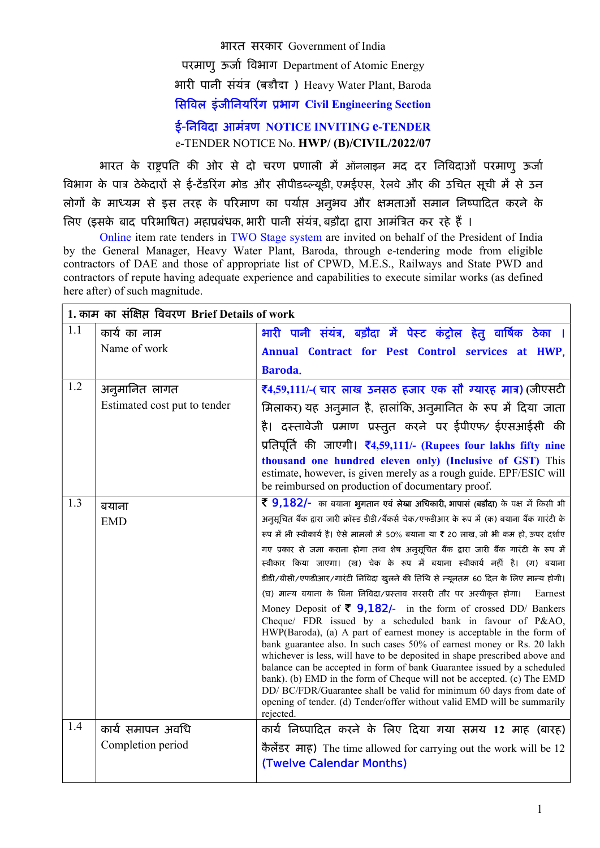भारत सरकार Government of India

परमाणु ऊर्जा विभाग Department of Atomic Energy

भारी पानी संयंत्र (बडौदा ) Heavy Water Plant, Baroda

# सिविल इंजीनियरिंग प्रभाग Civil Engineering Section

ई-निविदा आमंत्रण NOTICE INVITING e-TENDER e-TENDER NOTICE No. HWP/ (B)/CIVIL/2022/07

भारत के राष्ट्रपति की ओर से दो चरण प्रणाली में ऑनलाइन मद दर निविदाओं परमाणु ऊर्जा विभाग के पात्र ठेकेदारों से ई-टेंडरिंग मोड और सीपीडब्ल्यूडी, एमईएस, रेलवे और की उचित सूची में से उन लोगों के माध्यम से इस तरह के परिमाण का पर्याप्त अनुभव और क्षमताओं समान निष्पादित करने के त्रिए (इसके बाद परिभाषित) महाप्रबंधक, भारी पानी संयंत्र, बड़ौदा द्वारा आमंत्रित कर रहे हैं ।

Online item rate tenders in TWO Stage system are invited on behalf of the President of India by the General Manager, Heavy Water Plant, Baroda, through e-tendering mode from eligible contractors of DAE and those of appropriate list of CPWD, M.E.S., Railways and State PWD and contractors of repute having adequate experience and capabilities to execute similar works (as defined here after) of such magnitude.

| 1.1<br>भारी पानी संयंत्र, बड़ौदा में पेस्ट कंट्रोल हेतु वार्षिक ठेका ।<br>कार्य का नाम<br>Name of work<br>Annual Contract for Pest Control services at HWP,<br>Baroda.<br>1.2<br>₹4,59,111/-( चार लाख उनसठ हजार एक सौ ग्यारह मात्र) (जीएसटी<br>अनुमानित लागत<br>Estimated cost put to tender<br>मिलाकर) यह अनुमान है, हालांकि, अनुमानित के रूप में दिया जाता                                                                                                                                                                                                                                                                                                                                      |         |
|---------------------------------------------------------------------------------------------------------------------------------------------------------------------------------------------------------------------------------------------------------------------------------------------------------------------------------------------------------------------------------------------------------------------------------------------------------------------------------------------------------------------------------------------------------------------------------------------------------------------------------------------------------------------------------------------------|---------|
|                                                                                                                                                                                                                                                                                                                                                                                                                                                                                                                                                                                                                                                                                                   |         |
|                                                                                                                                                                                                                                                                                                                                                                                                                                                                                                                                                                                                                                                                                                   |         |
|                                                                                                                                                                                                                                                                                                                                                                                                                                                                                                                                                                                                                                                                                                   |         |
|                                                                                                                                                                                                                                                                                                                                                                                                                                                                                                                                                                                                                                                                                                   |         |
|                                                                                                                                                                                                                                                                                                                                                                                                                                                                                                                                                                                                                                                                                                   |         |
| है। दस्तावेजी प्रमाण प्रस्तुत करने पर ईपीएफ/ ईएसआईसी की                                                                                                                                                                                                                                                                                                                                                                                                                                                                                                                                                                                                                                           |         |
| प्रतिपूर्ति की जाएगी। रै4,59,111/- (Rupees four lakhs fifty nine                                                                                                                                                                                                                                                                                                                                                                                                                                                                                                                                                                                                                                  |         |
| thousand one hundred eleven only) (Inclusive of GST) This<br>estimate, however, is given merely as a rough guide. EPF/ESIC will<br>be reimbursed on production of documentary proof.                                                                                                                                                                                                                                                                                                                                                                                                                                                                                                              |         |
| 1.3<br>र् 9,182/- का बयाना भुगतान एवं लेखा अधिकारी, भापासं (बडौदा) के पक्ष में किसी भी                                                                                                                                                                                                                                                                                                                                                                                                                                                                                                                                                                                                            |         |
| बयाना<br>अनुसूचित बैंक द्वारा जारी क्रॉस्ड डीडी/बैंकर्स चेक/एफडीआर के रूप में (क) बयाना बैंक गारंटी के                                                                                                                                                                                                                                                                                                                                                                                                                                                                                                                                                                                            |         |
| <b>EMD</b><br>रूप में भी स्वीकार्य है। ऐसे मामलों में 50% बयाना या ₹ 20 लाख, जो भी कम हो, ऊपर दर्शाए                                                                                                                                                                                                                                                                                                                                                                                                                                                                                                                                                                                              |         |
| गए प्रकार से जमा कराना होगा तथा शेष अनुसूचित बैंक द्वारा जारी बैंक गारंटी के रूप में<br>स्वीकार किया जाएगा। (ख) चेक के रूप में बयाना स्वीकार्य नहीं है। (ग) बयाना                                                                                                                                                                                                                                                                                                                                                                                                                                                                                                                                 |         |
| डीडी/बीसी/एफडीआर/गारंटी निविदा खुलने की तिथि से न्यूनतम 60 दिन के लिए मान्य होगी।                                                                                                                                                                                                                                                                                                                                                                                                                                                                                                                                                                                                                 |         |
| (घ) मान्य बयाना के बिना निविदा/प्रस्ताव सरसरी तौर पर अस्वीकृत होगा।                                                                                                                                                                                                                                                                                                                                                                                                                                                                                                                                                                                                                               | Earnest |
| Money Deposit of $\overline{\zeta}$ 9,182/- in the form of crossed DD/ Bankers<br>Cheque/ FDR issued by a scheduled bank in favour of P&AO,<br>HWP(Baroda), (a) A part of earnest money is acceptable in the form of<br>bank guarantee also. In such cases 50% of earnest money or Rs. 20 lakh<br>whichever is less, will have to be deposited in shape prescribed above and<br>balance can be accepted in form of bank Guarantee issued by a scheduled<br>bank). (b) EMD in the form of Cheque will not be accepted. (c) The EMD<br>DD/ BC/FDR/Guarantee shall be valid for minimum 60 days from date of<br>opening of tender. (d) Tender/offer without valid EMD will be summarily<br>rejected. |         |
| 1.4<br>कार्य निष्पादित करने के लिए दिया गया समय 12 माह (बारह)<br>कार्य समापन अवधि                                                                                                                                                                                                                                                                                                                                                                                                                                                                                                                                                                                                                 |         |
| Completion period<br>कैलेंडर माह) The time allowed for carrying out the work will be 12<br><b>(Twelve Calendar Months)</b>                                                                                                                                                                                                                                                                                                                                                                                                                                                                                                                                                                        |         |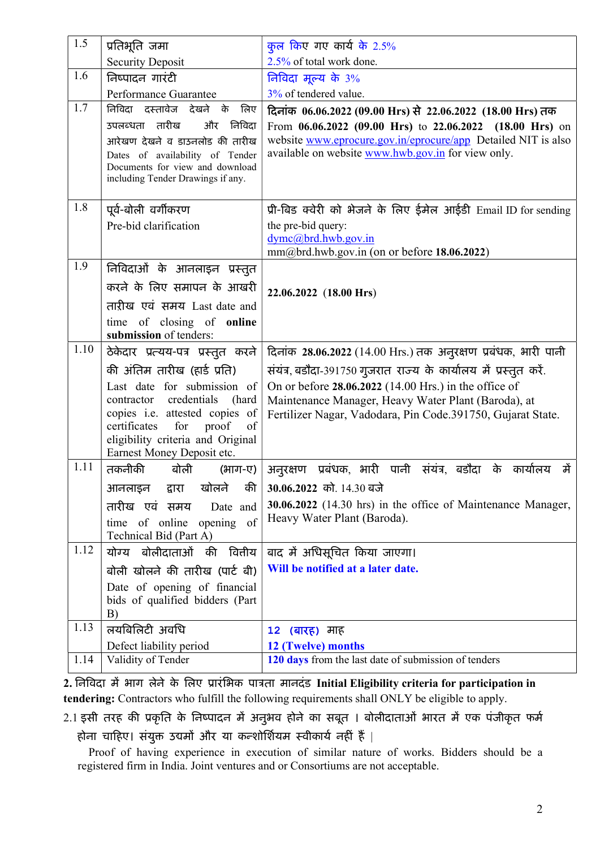| 1.5  | प्रतिभूति जमा                                                        | कुल किए गए कार्य के 2.5%                                                                                           |
|------|----------------------------------------------------------------------|--------------------------------------------------------------------------------------------------------------------|
| 1.6  | <b>Security Deposit</b>                                              | 2.5% of total work done.                                                                                           |
|      | निष्पादन गारंटी                                                      | निविदा मूल्य के 3%                                                                                                 |
|      | Performance Guarantee                                                | 3% of tendered value.                                                                                              |
| 1.7  | निविदा दस्तावेज देखने के लिए                                         | दिनांक 06.06.2022 (09.00 Hrs) से 22.06.2022 (18.00 Hrs) तक                                                         |
|      | निविदा<br>उपलब्धता तारीख<br>और                                       | From 06.06.2022 (09.00 Hrs) to 22.06.2022 (18.00 Hrs) on                                                           |
|      | आरेखण देखने व डाउनलोड की तारीख                                       | website www.eprocure.gov.in/eprocure/app Detailed NIT is also                                                      |
|      | Dates of availability of Tender<br>Documents for view and download   | available on website www.hwb.gov.in for view only.                                                                 |
|      | including Tender Drawings if any.                                    |                                                                                                                    |
|      |                                                                      |                                                                                                                    |
| 1.8  | पूर्व-बोली वर्गीकरण                                                  | प्री-बिड क्वेरी को भेजने के लिए ईमेल आईडी Email ID for sending                                                     |
|      | Pre-bid clarification                                                | the pre-bid query:                                                                                                 |
|      |                                                                      | dymc@brd.hwb.gov.in                                                                                                |
| 1.9  |                                                                      | mm@brd.hwb.gov.in (on or before 18.06.2022)                                                                        |
|      | निविदाओं के आनलाइन प्रस्तुत                                          |                                                                                                                    |
|      | करने के लिए समापन के आखरी                                            | 22.06.2022 (18.00 Hrs)                                                                                             |
|      | ताऱीख एवं समय Last date and                                          |                                                                                                                    |
|      | time of closing of online                                            |                                                                                                                    |
| 1.10 | submission of tenders:                                               |                                                                                                                    |
|      | ठेकेदार प्रत्यय-पत्र प्रस्तुत करने                                   | दिनांक 28.06.2022 (14.00 Hrs.) तक अनुरक्षण प्रबंधक, भारी पानी                                                      |
|      | की अंतिम तारीख (हार्ड प्रति)                                         | संयंत्र, बडौदा-391750 गुजरात राज्य के कार्यालय में प्रस्तुत करें.                                                  |
|      | Last date for submission of                                          | On or before 28.06.2022 (14.00 Hrs.) in the office of                                                              |
|      | credentials<br>contractor<br>(hard<br>copies i.e. attested copies of | Maintenance Manager, Heavy Water Plant (Baroda), at<br>Fertilizer Nagar, Vadodara, Pin Code.391750, Gujarat State. |
|      | certificates<br>for<br>proof<br>of                                   |                                                                                                                    |
|      | eligibility criteria and Original                                    |                                                                                                                    |
|      | Earnest Money Deposit etc.                                           |                                                                                                                    |
| 1.11 | तकनीकी<br>बोली<br>(भाग-ए)                                            | प्रबंधक, भारी पानी संयंत्र, बडौदा के कार्यालय<br>में<br>अनुरक्षण                                                   |
|      | खोलने की<br>आनलाइन<br>द्वारा                                         | 30.06.2022 को. 14.30 बजे                                                                                           |
|      | तारीख एवं समय<br>Date and                                            | 30.06.2022 (14.30 hrs) in the office of Maintenance Manager,                                                       |
|      | time of online opening of                                            | Heavy Water Plant (Baroda).                                                                                        |
|      | Technical Bid (Part A)                                               |                                                                                                                    |
| 1.12 | योग्य बोलीदाताओं की वित्तीय                                          | बाद में अधिसूचित किया जाएगा।                                                                                       |
|      | बोली खोलने की तारीख (पार्ट बी)                                       | Will be notified at a later date.                                                                                  |
|      | Date of opening of financial                                         |                                                                                                                    |
|      | bids of qualified bidders (Part<br>B)                                |                                                                                                                    |
| 1.13 | लयबिलिटी अवधि                                                        |                                                                                                                    |
|      | Defect liability period                                              | ( <b>बारह</b> ) माह<br>12 <sub>2</sub><br>12 (Twelve) months                                                       |
| 1.14 | Validity of Tender                                                   | 120 days from the last date of submission of tenders                                                               |
|      |                                                                      |                                                                                                                    |

2. निविदा में भाग लेने के लिए प्रारंभिक पात्रता मानदंड Initial Eligibility criteria for participation in tendering: Contractors who fulfill the following requirements shall ONLY be eligible to apply.

2.1 इसी तरह की प्रकृति के निष्पादन में अनुभव होने का सबूत । बोलीदाताओं भारत में एक पंजीकृत फर्म होना चाहिए। संयुक्त उद्यमों और या कन्शोर्शियम स्वीकार्य नहीं हैं |

 Proof of having experience in execution of similar nature of works. Bidders should be a registered firm in India. Joint ventures and or Consortiums are not acceptable.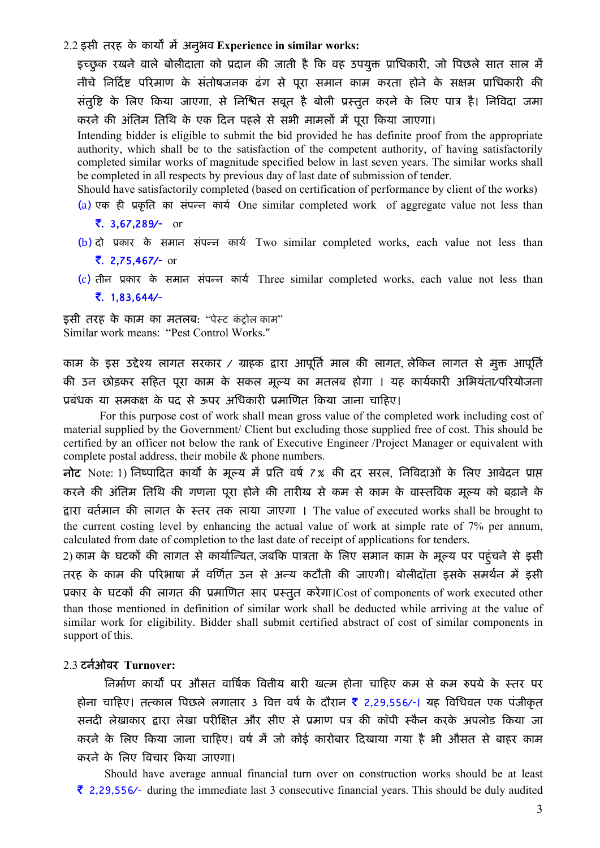$2.2$  इसी तरह के कार्यों में अनुभव Experience in similar works:

इच्छुक रखने वाले बोलीदाता को प्रदान की जाती है कि वह उपयुक्त प्राधिकारी, जो पिछले सात साल में नीचे निर्दिष्ट परिमाण के संतोषजनक ढंग से पुरा समान काम करता होने के सक्षम प्राधिकारी क<mark>ी</mark> संतुष्टि के लिए किया जाएगा, से निश्चित सबूत है बोली प्रस्तुत करने के लिए पात्र है। निविदा जमा करने की अंतिम तिथि के एक दिन पहले से सभी मामलों में पूरा किया जाएगा।

Intending bidder is eligible to submit the bid provided he has definite proof from the appropriate authority, which shall be to the satisfaction of the competent authority, of having satisfactorily completed similar works of magnitude specified below in last seven years. The similar works shall be completed in all respects by previous day of last date of submission of tender.

Should have satisfactorily completed (based on certification of performance by client of the works)

(a) एक ही प्रकृति का संपन्न कार्य One similar completed work of aggregate value not less than

. 3,67,289/- or

- $(b)$  दो प्रकार के समान संपन्न कार्य Two similar completed works, each value not less than . 2,75,467/- or
- (c) तीन प्रकार के समान संपन्न कार्य Three similar completed works, each value not less than
	- . 1,83,644/-

इसी तरह के काम का मतलब: "पेस्ट कंट्रोल काम" Similar work means: "Pest Control Works."

काम के इस उद्देश्य लागत सरकार / ग्राहक द्वारा आपूर्ति माल की लागत, लेकिन लागत से मुक्त आपूर्ति की उन छोड़कर सहित पूरा काम के सकल मूल्य का मतलब होगा । यह कार्यकारी अभियंता/परियोजना प्रबंधक या समकक्ष के पद से ऊपर अधिकारी प्रमाणित किया जाना चाहिए।

For this purpose cost of work shall mean gross value of the completed work including cost of material supplied by the Government/ Client but excluding those supplied free of cost. This should be certified by an officer not below the rank of Executive Engineer /Project Manager or equivalent with complete postal address, their mobile & phone numbers.

नोट Note: 1) निष्पादित कार्यों के मूल्य में प्रति वर्ष 7% की दर सरल, निविदाओं के लिए आवेदन प्राप्त करने की अंतिम तिथि की गणना पूरा होने की तारीख से कम से काम के वास्तविक मूल्य को बढ़ाने के Ʈारा वतमान क [ ȧ लागत के èतर तक लाया जाएगा । The value of executed works shall be brought to the current costing level by enhancing the actual value of work at simple rate of 7% per annum, calculated from date of completion to the last date of receipt of applications for tenders.

2) काम के घटकों की लागत से कार्यान्वित, जबकि पात्रता के लिए समान काम के मूल्य पर पहुंचने से इसी तरह के काम की परिभाषा में वर्णित उन से अन्य कटौती की जाएगी। बोलीदॉता इसके समर्थन में इसी प्रकार के घटकों की लागत की प्रमाणित सार प्रस्तुत करेगा।Cost of components of work executed other than those mentioned in definition of similar work shall be deducted while arriving at the value of similar work for eligibility. Bidder shall submit certified abstract of cost of similar components in support of this.

### 2.3 टनओवर [ Turnover:

निर्माण कार्यों पर औसत वार्षिक वितीय बारी खत्म होना चाहिए कम से कम रुपये के स्तर पर होना चाहिए। तत्काल पिछले लगातार 3 वित्त वर्ष के दौरान <mark>र</mark> 2,29,556⁄-। यह विधिवत एक पंजीकृत सनदी लेखाकार द्वारा लेखा परीक्षित और सीए से प्रमाण पत्र की कॉपी स्कैन करके अपलोड किया जा करने के लिए किया जाना चाहिए। वर्ष में जो कोई कारोबार दिखाया गया है भी औसत से बाहर काम करने के िलए ǒवचार Ǒकया जाएगा।

Should have average annual financial turn over on construction works should be at least  $\bar{\tau}$  2,29,556/- during the immediate last 3 consecutive financial years. This should be duly audited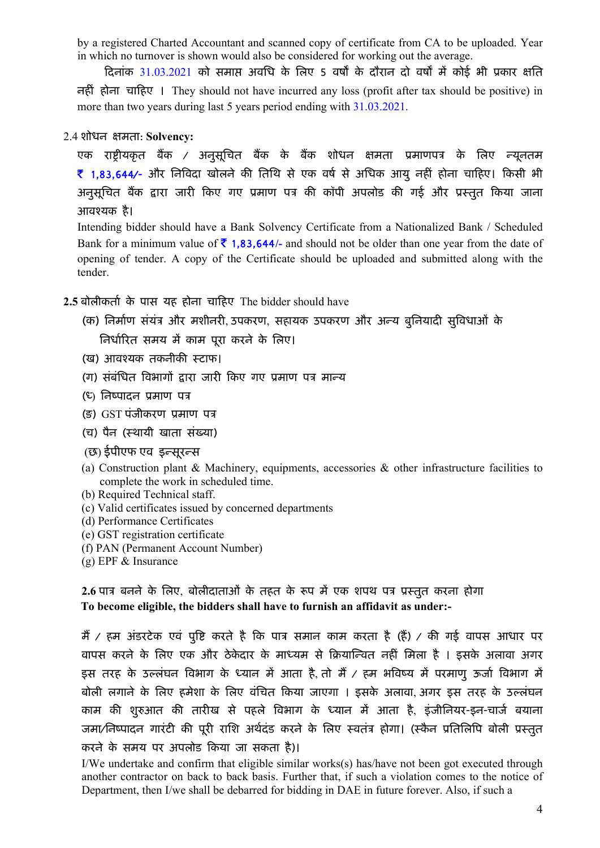by a registered Charted Accountant and scanned copy of certificate from CA to be uploaded. Year in which no turnover is shown would also be considered for working out the average.

दिनांक 31.03.2021 को समाप्त अवधि के लिए 5 वर्षों के दौरान दो वर्षों में कोई भी प्रकार क्षति नहȣं होना चाǑहए । They should not have incurred any loss (profit after tax should be positive) in more than two years during last 5 years period ending with 31.03.2021.

2.4 शोधन ¢मता: Solvency:

एक राष्ट्रीयकृत बैंक / अनुसूचित बैंक के बैंक शोधन क्षमता प्रमाणपत्र के लिए *न्यू*नतम ₹ 1,83,644⁄- और निविदा खोलने की तिथि से एक वर्ष से अधिक आयु नहीं होना चाहिए। किसी भी अनुसूचित बैंक द्वारा जारी किए गए प्रमाण पत्र की कॉपी अपलोड की गई और प्रस्तुत किया जाना आवæयक है।

Intending bidder should have a Bank Solvency Certificate from a Nationalized Bank / Scheduled Bank for a minimum value of  $\bar{\tau}$  1,83,644/- and should not be older than one year from the date of opening of tender. A copy of the Certificate should be uploaded and submitted along with the tender.

2.5 बोलीकर्ता के पास यह होना चाहिए The bidder should have

- (क) निर्माण संयंत्र और मशीनरी उपकरण, सहायक उपकरण और अन्य बुनियादी सुविधाओं के निर्धारित समय में काम पुरा करने के लिए।
- (ख) आवश्यक तकनीकी स्टाफ।
- (ग) संबंधित विभागों द्वारा जारी किए गए प्रमाण पत्र मान्य
- $(E)$  निष्पादन प्रमाण पत्र
- (ङ) GST पंजीकरण प्रमाण पत्र
- (च) पैन (स्थायी खाता संख्या)
- (छ) ईपीएफ एव इन्सूरन्स
- (a) Construction plant & Machinery, equipments, accessories  $\&$  other infrastructure facilities to complete the work in scheduled time.
- (b) Required Technical staff.
- (c) Valid certificates issued by concerned departments
- (d) Performance Certificates
- (e) GST registration certificate
- (f) PAN (Permanent Account Number)
- (g) EPF & Insurance

2.6 पात्र बनने के लिए, बोलीदाताओं के तहत के रूप में एक शपथ पत्र प्रस्तुत करना होगा To become eligible, the bidders shall have to furnish an affidavit as under:-

मैं / हम अंडरटेक एवं पुष्टि करते है कि पात्र समान काम करता है (हैं) / की गई वापस आधार पर वापस करने के लिए एक और ठेकेदार के माध्यम से क्रियान्वित नहीं मिला है । इसके अलावा अगर इस तरह के उल्लंघन विभाग के ध्यान में आता है, तो मैं / हम भविष्य में परमाणु ऊर्जा विभाग में बोली लगाने के लिए हमेशा के लिए वंचित किया जाएगा । इसके अलावा, अगर इस तरह के उल्लंघन काम की शुरुआत की तारीख से पहले विभाग के ध्यान में आता है, इंजीनियर-इन-चार्ज बयाना जमा/निष्पादन गारंटी की पूरी राशि अर्थदंड करने के लिए स्वतंत्र होगा। (स्कैन प्रतिलिपि बोली प्रस्तुत करने के समय पर अपलोड किया जा सकता है)।

I/We undertake and confirm that eligible similar works(s) has/have not been got executed through another contractor on back to back basis. Further that, if such a violation comes to the notice of Department, then I/we shall be debarred for bidding in DAE in future forever. Also, if such a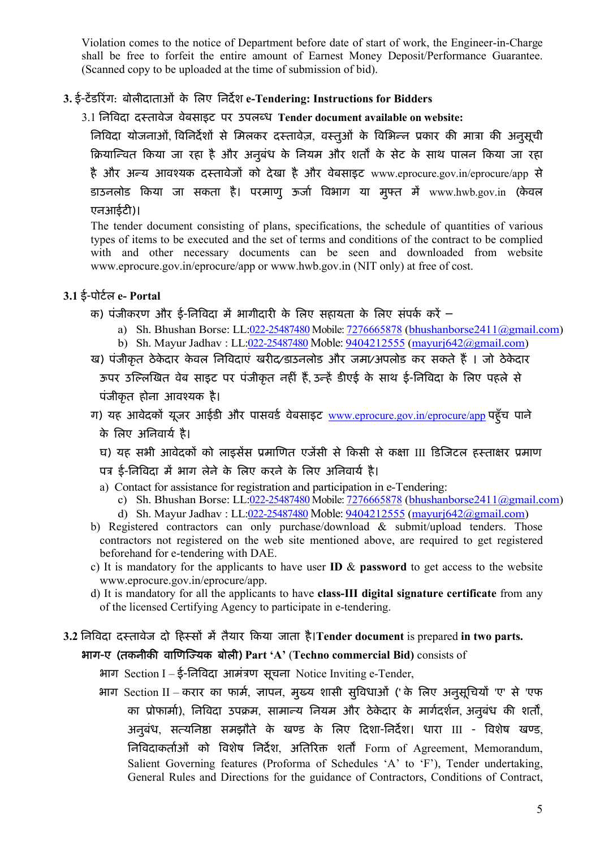Violation comes to the notice of Department before date of start of work, the Engineer-in-Charge shall be free to forfeit the entire amount of Earnest Money Deposit/Performance Guarantee. (Scanned copy to be uploaded at the time of submission of bid).

### 3. ई-टेंडरिंग: बोलीदाताओं के लिए निर्देश e-Tendering: Instructions for Bidders

3.1 निविदा दस्तावेज वेबसाइट पर उपलब्ध Tender document available on website:

िनिविदा योजनाओं, विनिर्देशों से मिलकर दस्तावेज़, वस्तुओं के विभिन्न प्रकार की मात्रा की अनुसूची क्रियान्वित किया जा रहा है और अनुबंध के नियम और शर्तों के सेट के साथ पालन किया जा रहा है और अन्य आवश्यक दस्तावेजों को देखा है और वेबसाइट www.eprocure.gov.in/eprocure/app से डाउनलोड किया जा सकता है। परमाणु ऊर्जा विभाग या मुफ्त में www.hwb.gov.in (केवल एनआईटी)।

The tender document consisting of plans, specifications, the schedule of quantities of various types of items to be executed and the set of terms and conditions of the contract to be complied with and other necessary documents can be seen and downloaded from website www.eprocure.gov.in/eprocure/app or www.hwb.gov.in (NIT only) at free of cost.

- 3.1 ई-पोर्टल e- Portal
	- क) पंजीकरण और ई-निविदा में भागीदारी के लिए सहायता के लिए संपर्क करें
		- a) Sh. Bhushan Borse: LL:022-25487480 Mobile: 7276665878 (bhushanborse2411@gmail.com)
		- b) Sh. Mayur Jadhav : LL:022-25487480 Moble: 9404212555 (mayurj642@gmail.com)
	- ख) पंजीकृत ठेकेदार केवल निविदाएं खरीद⁄डाउनलोड और जमा/अपलोड कर सकते हैं । जो ठेकेदार ऊपर उल्लिखित वेब साइट पर पंजीकृत नहीं हैं, उन्हें डीएई के साथ ई-निविदा के लिए पहले से पंजीकृत होना आवश्यक है।
	- ग) यह आवेदकों यूजर आईडी और पासवर्ड वेबसाइट www.eprocure.gov.in/eprocure/app पहुँच पाने के लिए अनिवार्य है।
		- घ) यह सभी आवेदकों को लाइसेंस प्रमाणित एजेंसी से किसी से कक्षा III डिजिटल हस्ताक्षर प्रमाण
		- पत्र ई-निविदा में भाग लेने के लिए करने के लिए अनिवार्य है।
		- a) Contact for assistance for registration and participation in e-Tendering:
			- c) Sh. Bhushan Borse: LL:022-25487480 Mobile: 7276665878 (bhushanborse2411@gmail.com)
			- d) Sh. Mayur Jadhav : LL:022-25487480 Moble: 9404212555 (mayurj642@gmail.com)
	- b) Registered contractors can only purchase/download & submit/upload tenders. Those contractors not registered on the web site mentioned above, are required to get registered beforehand for e-tendering with DAE.
	- c) It is mandatory for the applicants to have user **ID**  $\&$  **password** to get access to the website www.eprocure.gov.in/eprocure/app.
	- d) It is mandatory for all the applicants to have class-III digital signature certificate from any of the licensed Certifying Agency to participate in e-tendering.

# 3.2 निविदा दस्तावेज दो हिस्सों में तैयार किया जाता है।Tender document is prepared in two parts.

## भाग-ए (तकनीकी वाणिज्यिक बोली) Part 'A' (Techno commercial Bid) consists of

- भाग Section I ई-निविदा आमंत्रण सूचना Notice Inviting e-Tender,
- भाग Section II करार का फार्म, ज्ञापन, मुख्य शासी सुविधाओं (' के लिए अनुसुचियों 'ए' से 'एफ का प्रोफार्मा), निविदा उपक्रम, सामान्य नियम और ठेकेदार के मार्गदर्शन, अनुबंध की शर्तों, अनुबंध, सत्यनिष्ठा समझौते के खण्ड के लिए दिशा-निर्देश। धारा III - विशेष खण्ड, निविदाकर्ताओं को विशेष निर्देश, अतिरिक्त शर्तों Form of Agreement, Memorandum, Salient Governing features (Proforma of Schedules 'A' to 'F'), Tender undertaking, General Rules and Directions for the guidance of Contractors, Conditions of Contract,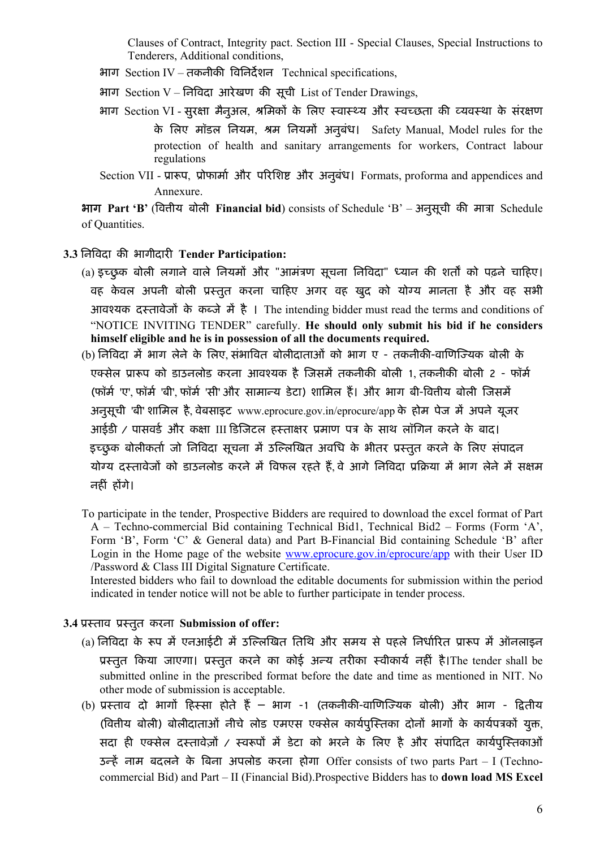Clauses of Contract, Integrity pact. Section III - Special Clauses, Special Instructions to Tenderers, Additional conditions,

- भाग Section IV तकनीकी विनिर्देशन Technical specifications,
- भाग Section V निविदा आरेखण की सूची List of Tender Drawings,
- भाग Section VI सुरक्षा मैनुअल, श्रमिकों के लिए स्वास्थ्य और स्वच्छता की व्यवस्था के संरक्षण के लिए मॉडल नियम, श्रम नियमों अनुबंध। Safety Manual, Model rules for the protection of health and sanitary arrangements for workers, Contract labour regulations
- Section VII प्रारूप, प्रोफार्मा और परिशिष्ट और अनुबंध। Formats, proforma and appendices and Annexure.

**भाग Part 'B' (वित्तीय बोली Financial bid)** consists of Schedule 'B' – अनुसूची की मात्रा Schedule of Quantities.

- 3.3 निविदा की भागीदारी Tender Participation:
	- (a) इच्छुक बोली लगाने वाले नियमों और "आमंत्रण सूचना निविदा" ध्यान की शर्तों को पढ़ने चाहिए। वह केवल अपनी बोली प्रस्तुत करना चाहिए अगर वह खुद को योग्य मानता है और वह सभी आवश्यक दस्तावेजों के कब्जे में है । The intending bidder must read the terms and conditions of "NOTICE INVITING TENDER" carefully. He should only submit his bid if he considers himself eligible and he is in possession of all the documents required.
	- (b) निविदा में भाग लेने के लिए, संभावित बोलीदाताओं को भाग ए तकनीकी-वाणिज्यिक बोली के एक्सेल प्रारूप को डाउनलोड करना आवश्यक है जिसमें तकनीकी बोली 1, तकनीकी बोली 2 - फॉर्म (फॉर्म 'ए', फॉर्म 'बी', फॉर्म 'सी' और सामान्य डेटा) शामिल हैं। और भाग बी-वितीय बोली जिसमें अनुसूची 'बी' शामिल है, वेबसाइट www.eprocure.gov.in/eprocure/app के होम पेज में अपने यूजर आईडी / पासवर्ड और कक्षा III डिजिटल हस्ताक्षर प्रमाण पत्र के साथ लॉगिन करने के बाद। इच्छुक बोलीकर्ता जो निविदा सूचना में उल्लिखित अवधि के भीतर प्रस्तुत करने के लिए संपादन योग्य दस्तावेजों को डाउनलोड करने में विफल रहते हैं, वे आगे निविदा प्रक्रिया में भाग लेने में सक्षम नहीं होंगे।

To participate in the tender, Prospective Bidders are required to download the excel format of Part A – Techno-commercial Bid containing Technical Bid1, Technical Bid2 – Forms (Form 'A', Form 'B', Form 'C' & General data) and Part B-Financial Bid containing Schedule 'B' after Login in the Home page of the website www.eprocure.gov.in/eprocure/app with their User ID /Password & Class III Digital Signature Certificate.

 Interested bidders who fail to download the editable documents for submission within the period indicated in tender notice will not be able to further participate in tender process.

### 3.4 प्रस्ताव प्रस्तुत करना Submission of offer:

- (a) निविदा के रूप में एनआईटी में उल्लिखित तिथि और समय से पहले निर्धारित प्रारूप में ऑनलाइन प्रस्तुत किया जाएगा। प्रस्तुत करने का कोई अन्य तरीका स्वीकार्य नहीं है।The tender shall be submitted online in the prescribed format before the date and time as mentioned in NIT. No other mode of submission is acceptable.
- (b) प्रस्ताव दो भागों हिस्सा होते हैं भाग -1 (तकनीकी-वाणिज्यिक बोली) और भाग द्वितीय (वितीय बोली) बोलीदाताओं नीचे लोड एमएस एक्सेल कार्यपुस्तिका दोनों भागों के कार्यपत्रकों युक्त, सदा ही एक्सेल दस्तावेज़ों / स्वरूपों में डेटा को भरने के लिए है और संपादित कार्यपुस्तिकाओं उन्हें नाम बदलने के बिना अपलोड करना होगा Offer consists of two parts Part - I (Technocommercial Bid) and Part – II (Financial Bid).Prospective Bidders has to down load MS Excel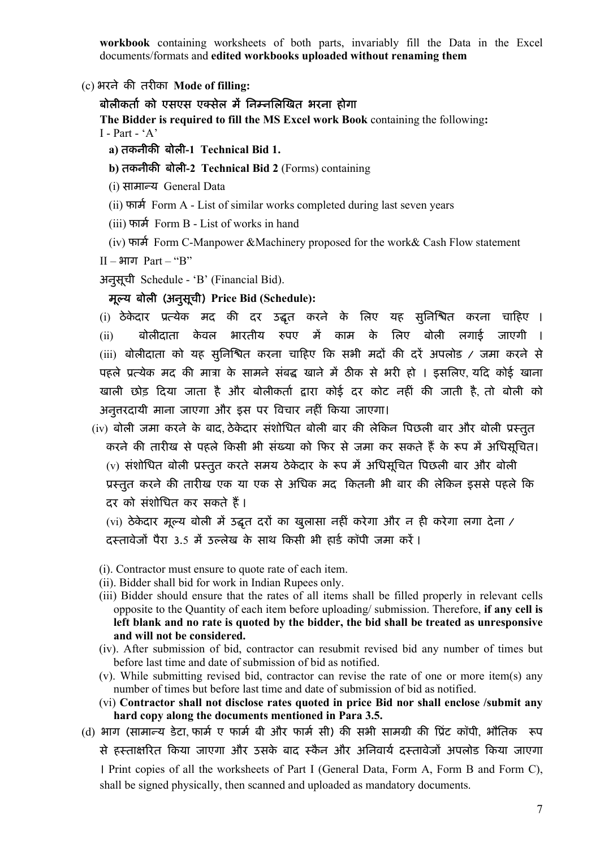workbook containing worksheets of both parts, invariably fill the Data in the Excel documents/formats and edited workbooks uploaded without renaming them

(c) भरने की तरीका Mode of filling:

#### बोलीकर्ता को एसएस एक्सेल में निम्नलिखित भरना होगा

The Bidder is required to fill the MS Excel work Book containing the following:  $I - Part - 'A'$ 

- a) तकनीकी बोली-1 Technical Bid 1.
- b) तकनीकी बोली-2 Technical Bid 2 (Forms) containing
- (i) सामान्य General Data
- $(i)$   $\overline{v}$   $\overline{v}$   $\overline{v}$   $\overline{v}$   $\overline{v}$   $\overline{v}$   $\overline{v}$   $\overline{v}$   $\overline{v}$   $\overline{v}$   $\overline{v}$   $\overline{v}$   $\overline{v}$   $\overline{v}$   $\overline{v}$   $\overline{v}$   $\overline{v}$   $\overline{v}$   $\overline{v}$   $\overline{v}$   $\overline{v}$   $\overline{v}$   $\overline{v}$   $\overline{v}$
- (iii) फार्म Form B List of works in hand
- (iv) फार्म Form C-Manpower &Machinery proposed for the work &Cash Flow statement

II – भाग Part – "B"

अनुसूची Schedule - 'B' (Financial Bid).

### मूल्य बोली (अनुसूची) Price Bid (Schedule):

(i) ठेकेदार प्रत्येक मद की दर उद्धत करने के लिए यह सुनिश्चित करना चाहिए । (ii) बोलीदाता केवल भारतीय रुपए में काम के लिए बोली लगाई जाएगी । (iii) बोलीदाता को यह सुनिश्चित करना चाहिए कि सभी मदों की दरें अपलोड / जमा करने से पहले प्रत्येक मद की मात्रा के सामने संबद्ध खाने में ठीक से भरी हो । इसलिए यदि कोई खाना खाली छोड़ दिया जाता है और बोलीकर्ता द्वारा कोई दर कोट नहीं की जाती है, तो बोली को अनुत्तरदायी माना जाएगा और इस पर विचार नहीं किया जाएगा।

(iv) बोली जमा करने के बाद, ठेकेदार संशोधित बोली बार की लेकिन पिछली बार और बोली प्रस्तुत करने की तारीख से पहले किसी भी संख्या को फिर से जमा कर सकते हैं के रूप में अधिसचित। (v) संशोधित बोली प्रस्तुत करते समय ठेकेदार के रूप में अधिसूचित पिछली बार और बोली प्रस्तुत करने की तारीख एक या एक से अधिक मद कितनी भी बार की लेकिन इससे पहले कि दर को संशोधित कर सकते हैं।

(vi) ठेकेदार मूल्य बोली में उद्धत दरों का खुलासा नहीं करेगा और न ही करेगा लगा देना / दस्तावेजों पैरा 3.5 में उल्लेख के साथ किसी भी हार्ड कॉपी जमा करें।

- (i). Contractor must ensure to quote rate of each item.
- (ii). Bidder shall bid for work in Indian Rupees only.
- (iii) Bidder should ensure that the rates of all items shall be filled properly in relevant cells opposite to the Quantity of each item before uploading/ submission. Therefore, if any cell is left blank and no rate is quoted by the bidder, the bid shall be treated as unresponsive and will not be considered.
- (iv). After submission of bid, contractor can resubmit revised bid any number of times but before last time and date of submission of bid as notified.
- (v). While submitting revised bid, contractor can revise the rate of one or more item(s) any number of times but before last time and date of submission of bid as notified.
- (vi) Contractor shall not disclose rates quoted in price Bid nor shall enclose /submit any hard copy along the documents mentioned in Para 3.5.
- (d) भाग (सामान्य डेटा, फार्म ए फार्म बी और फार्म सी) की सभी सामग्री की प्रिंट कॉपी, भौतिक रूप से हस्ताक्षरित किया जाएगा और उसके बाद स्कैन और अनिवार्य दस्तावेजों अपलोड किया जाएगा । Print copies of all the worksheets of Part I (General Data, Form A, Form B and Form C), shall be signed physically, then scanned and uploaded as mandatory documents.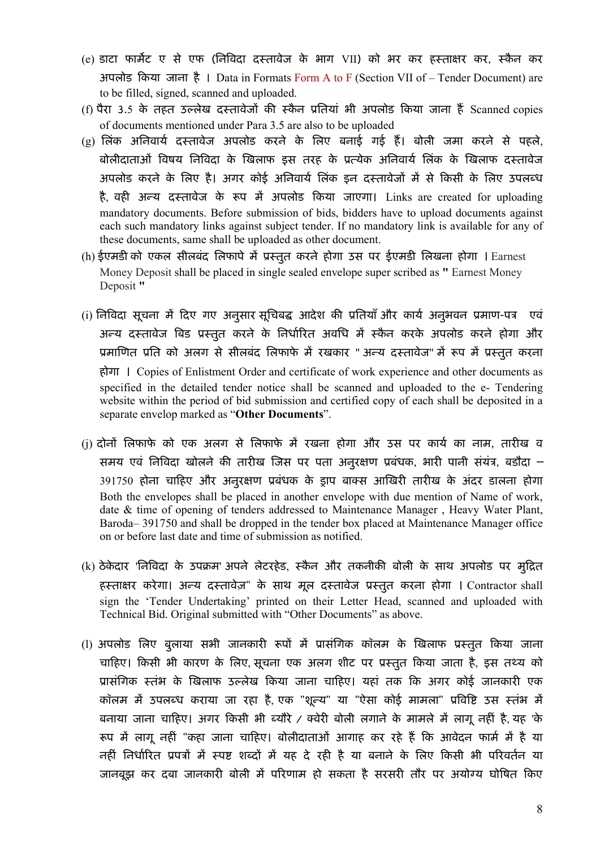- (e) डाटा फार्मेट ए से एफ (निविदा दस्तावेज के भाग VII) को भर कर हस्ताक्षर कर, स्कैन कर अपलोड किया जाना है । Data in Formats Form A to F (Section VII of – Tender Document) are to be filled, signed, scanned and uploaded.
- (f) पैरा 3.5 के तहत उल्लेख दस्तावेजों की स्कैन प्रतियां भी अपलोड किया जाना हैं Scanned copies of documents mentioned under Para 3.5 are also to be uploaded
- (g) लिंक अनिवार्य दस्तावेज अपलोड करने के लिए बनाई गई हैं। बोली जमा करने से पहले, बोलीदाताओं विषय निविदा के खिलाफ इस तरह के प्रत्येक अनिवार्य लिंक के खिलाफ दस्तावेज अपलोड करने के लिए है। अगर कोई अनिवार्य लिंक इन दस्तावेजों में से किसी के लिए उपलब्ध है, वही अन्य दस्तावेज के रूप में अपलोड किया जाएगा। Links are created for uploading mandatory documents. Before submission of bids, bidders have to upload documents against each such mandatory links against subject tender. If no mandatory link is available for any of these documents, same shall be uploaded as other document.
- (h) ईएमडी को एकल सीलबंद लिफापे में प्रस्तुत करने होगा उस पर ईएमडी लिखना होगा । Earnest Money Deposit shall be placed in single sealed envelope super scribed as " Earnest Money Deposit "
- (i) निविदा सूचना में दिए गए अनुसार सूचिबद्ध आदेश की प्रतियाँ और कार्य अनुभवन प्रमाण-पत्र) एवं अन्य दस्तावेज बिड प्रस्तुत करने के निर्धारित अवधि में स्कैन करके अपलोड करने होगा और प्रमाणित प्रति को अलग से सीलबंद लिफाफे में रखकार " अन्य दस्तावेज" में रूप में प्रस्तुत करना होगा । Copies of Enlistment Order and certificate of work experience and other documents as specified in the detailed tender notice shall be scanned and uploaded to the e- Tendering website within the period of bid submission and certified copy of each shall be deposited in a separate envelop marked as "Other Documents".
- (i) दोनों लिफाफे को एक अलग से लिफाफे में रखना होगा और उस पर कार्य का नाम, तारीख व समय एवं निविदा खोलने की तारीख जिस पर पता अनुरक्षण प्रबंधक, भारी पानी संयंत्र, बडौदा – 391750 होना चाहिए और अनुरक्षण प्रबंधक के ड्राप बाक्स आखिरी तारीख के अंदर डालना होगा Both the envelopes shall be placed in another envelope with due mention of Name of work, date & time of opening of tenders addressed to Maintenance Manager , Heavy Water Plant, Baroda– 391750 and shall be dropped in the tender box placed at Maintenance Manager office on or before last date and time of submission as notified.
- (k) ठेकेदार 'निविदा के उपक्रम' अपने लेटरहेड, स्कैन और तकनीकी बोली के साथ अपलोड पर मुद्रित हस्ताक्षर करेगा। अन्य दस्तावेज़" के साथ मूल दस्तावेज प्रस्तुत करना होगा । Contractor shall sign the 'Tender Undertaking' printed on their Letter Head, scanned and uploaded with Technical Bid. Original submitted with "Other Documents" as above.
- (l) अपलोड लिए बुलाया सभी जानकारी रूपों में प्रासंगिक कॉलम के खिलाफ प्रस्तुत किया जाना चाहिए। किसी भी कारण के लिए सूचना एक अलग शीट पर प्रस्तुत किया जाता है, इस तथ्य को प्रासंगिक स्तंभ के खिलाफ उल्लेख किया जाना चाहिए। यहां तक कि अगर कोई जानकारी एक कॉलम में उपलब्ध कराया जा रहा है, एक "शून्य" या "ऐसा कोई मामला" प्रविष्टि उस स्तंभ में बनाया जाना चाहिए। अगर किसी भी ब्यौरे / क्वेरी बोली लगाने के मामले में लागू नहीं है, यह 'के रूप में लागू नहीं "कहा जाना चाहिए। बोलीदाताओं आगाह कर रहे हैं कि आवेदन फार्म में है या नहीं निर्धारित प्रपत्रों में स्पष्ट शब्दों में यह दे रही है या बनाने के लिए किसी भी परिवर्तन या जानबूझ कर दबा जानकारी बोली में परिणाम हो सकता है सरसरी तौर पर अयोग्य घोषित किए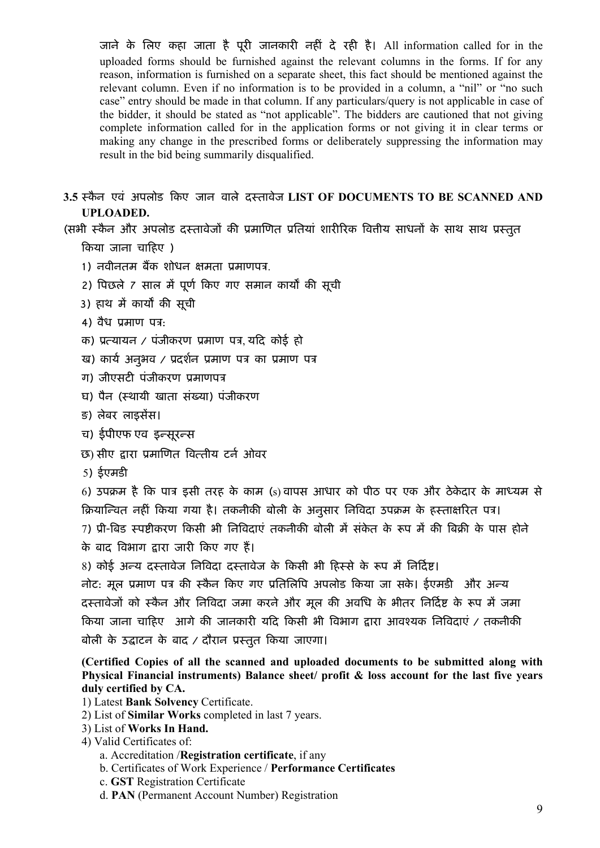जाने के लिए कहा जाता है पूरी जानकारी नहीं दे रही है। All information called for in the uploaded forms should be furnished against the relevant columns in the forms. If for any reason, information is furnished on a separate sheet, this fact should be mentioned against the relevant column. Even if no information is to be provided in a column, a "nil" or "no such case" entry should be made in that column. If any particulars/query is not applicable in case of the bidder, it should be stated as "not applicable". The bidders are cautioned that not giving complete information called for in the application forms or not giving it in clear terms or making any change in the prescribed forms or deliberately suppressing the information may result in the bid being summarily disqualified.

3.5 स्कैन एवं अपलोड किए जान वाले दस्तावेज LIST OF DOCUMENTS TO BE SCANNED AND UPLOADED.

(सभी स्कैन और अपलोड दस्तावेजों की प्रमाणित प्रतियां शारीरिक वित्तीय साधनों के साथ साथ प्रस्तुत

Ǒकया जाना चाǑहए )

- 1) नवीनतम बैंक शोधन क्षमता प्रमाणपत्र.
- 2) पिछले 7 साल में पूर्ण किए गए समान कार्यों की सूची
- 3) हाथ में कार्यों की सची
- 4) वैध प्रमाण पत्र:
- क) प्रत्यायन / पंजीकरण प्रमाण पत्र, यदि कोई हो
- ख) कार्य अनुभव / प्रदर्शन प्रमाण पत्र का प्रमाण पत्र
- ग) जीएसटी पंजीकरण प्रमाणपत्र
- घ) पैन (èथायी खाता संÉया) पंजीकरण
- ङ) लेबर लाइसेंस।
- च) ईपीएफ एव इन्सूरन्स
- छ) सीए द्वारा प्रमाणित वित्तीय टर्न ओवर
- $5)$  ईएमडी

6) उपक्रम है कि पात्र इसी तरह के काम (s) वापस आधार को पीठ पर एक और ठेकेदार के माध्यम से क्रियान्चित नहीं किया गया है। तकनीकी बोली के अनुसार निविदा उपक्रम के हस्ताक्षरित पत्र। 7) प्री-बिड स्पष्टीकरण किसी भी निविदाएं तकनीकी बोली में संकेत के रूप में की बिक्री के पास होने के बाद विभाग द्वारा जारी किए गए हैं।

8) कोई अन्य दस्तावेज निविदा दस्तावेज के किसी भी हिस्से के रूप में निर्दिष्ट।

नोट: मूल प्रमाण पत्र की स्कैन किए गए प्रतिलिपि अपलोड किया जा सके। ईएमडी और अन्य दस्तावेजों को स्कैन और निविदा जमा करने और मूल की अवधि के भीतर निर्दिष्ट के रूप में जमा किया जाना चाहिए आगे की जानकारी यदि किसी भी विभाग द्वारा आवश्यक निविदाएं / तकनीकी बोली के उद्घाटन के बाद / दौरान प्रस्तुत किया जाएगा।

(Certified Copies of all the scanned and uploaded documents to be submitted along with Physical Financial instruments) Balance sheet/ profit & loss account for the last five vears duly certified by CA.

- 1) Latest Bank Solvency Certificate.
- 2) List of Similar Works completed in last 7 years.
- 3) List of Works In Hand.
- 4) Valid Certificates of:
	- a. Accreditation /Registration certificate, if any
	- b. Certificates of Work Experience / Performance Certificates
	- c. GST Registration Certificate
	- d. PAN (Permanent Account Number) Registration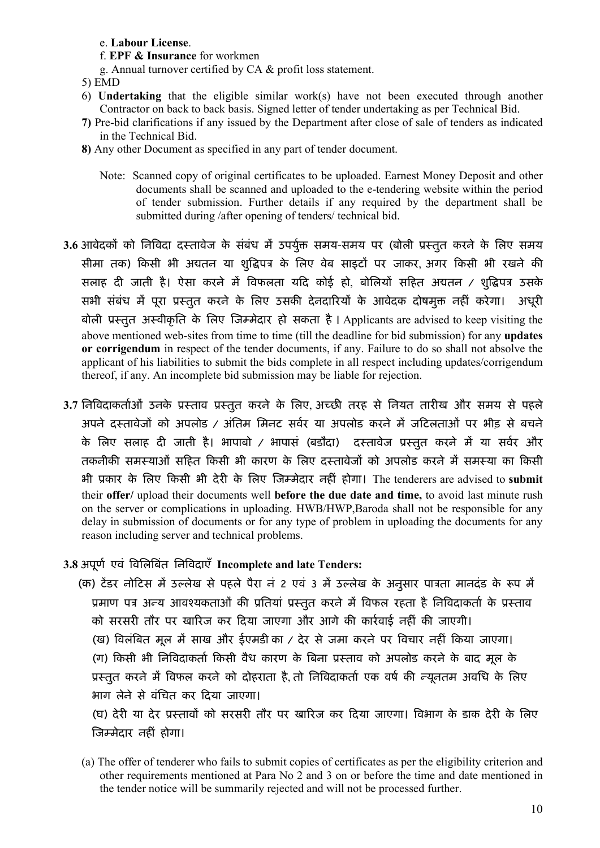#### e. Labour License.

- f. EPF & Insurance for workmen
- g. Annual turnover certified by CA & profit loss statement.
- 5) EMD
- 6) Undertaking that the eligible similar work(s) have not been executed through another Contractor on back to back basis. Signed letter of tender undertaking as per Technical Bid.
- 7) Pre-bid clarifications if any issued by the Department after close of sale of tenders as indicated in the Technical Bid.
- 8) Any other Document as specified in any part of tender document.
	- Note: Scanned copy of original certificates to be uploaded. Earnest Money Deposit and other documents shall be scanned and uploaded to the e-tendering website within the period of tender submission. Further details if any required by the department shall be submitted during /after opening of tenders/ technical bid.
- 3.6 आवेदकों को निविदा दस्तावेज के संबंध में उपर्युक्त समय-समय पर (बोली प्रस्तुत करने के लिए समय सीमा तक) किसी भी अद्यतन या शुद्धिपत्र के लिए वेब साइटों पर जाकर, अगर किसी भी रखने की सलाह दी जाती है। ऐसा करने में विफलता यदि कोई हो, बोलियों सहित अद्यतन / शुद्धिपत्र उसके सभी संबंध में पूरा प्रस्तुत करने के लिए उसकी देनदारियों के आवेदक दोषमुक्त नहीं करेगा। अधूरी बोली प्रस्तुत अस्वीकृति के लिए जिम्मेदार हो सकता है। Applicants are advised to keep visiting the above mentioned web-sites from time to time (till the deadline for bid submission) for any updates or corrigendum in respect of the tender documents, if any. Failure to do so shall not absolve the applicant of his liabilities to submit the bids complete in all respect including updates/corrigendum thereof, if any. An incomplete bid submission may be liable for rejection.
- 3.7 निविदाकर्ताओं उनके प्रस्ताव प्रस्तुत करने के लिए, अच्छी तरह से नियत तारीख और समय से पहले अपने दस्तावेजों को अपलोड / अंतिम मिनट सर्वर या अपलोड करने में जटिलताओं पर भीड़ से बचने के लिए सलाह दी जाती है। भापाबो / भापासं (बडौदा) दस्तावेज प्रस्तुत करने में या सर्वर और तकनीकी समस्याओं सहित किसी भी कारण के लिए दस्तावेजों को अपलोड करने में समस्या का किसी भी प्रकार के लिए किसी भी देरी के लिए जिम्मेदार नहीं होगा। The tenderers are advised to submit their offer/ upload their documents well before the due date and time, to avoid last minute rush on the server or complications in uploading. HWB/HWP,Baroda shall not be responsible for any delay in submission of documents or for any type of problem in uploading the documents for any reason including server and technical problems.

### 3.8 अपूर्ण एवं विलिबिंत निविदाएँ Incomplete and late Tenders:

(क) टेंडर नोटिस में उल्लेख से पहले पैरा नं 2 एवं 3 में उल्लेख के अनुसार पात्रता मानदंड के रूप में प्रमाण पत्र अन्य आवश्यकताओं की प्रतियां प्रस्तुत करने में विफल रहता है निविदाकर्ता के प्रस्ताव को सरसरी तौर पर खारिज कर दिया जाएगा और आगे की कार्रवाई नहीं की जाएगी। (ख) विलंबित मूल में साख और ईएमडी का / देर से जमा करने पर विचार नहीं किया जाएगा। (ग) किसी भी निविदाकर्ता किसी वैध कारण के बिना प्रस्ताव को अपलोड करने के बाद मूल के प्रस्तुत करने में विफल करने को दोहराता है, तो निविदाकर्ता एक वर्ष की न्यूनतम अवधि के लिए भाग लेने से वंिचत कर Ǒदया जाएगा। (घ) देरी या देर प्रस्तावों को सरसरी तौर पर खारिज कर दिया जाएगा। विभाग के डाक देरी के लिए

जिम्मेदार नहीं होगा।

(a) The offer of tenderer who fails to submit copies of certificates as per the eligibility criterion and other requirements mentioned at Para No 2 and 3 on or before the time and date mentioned in the tender notice will be summarily rejected and will not be processed further.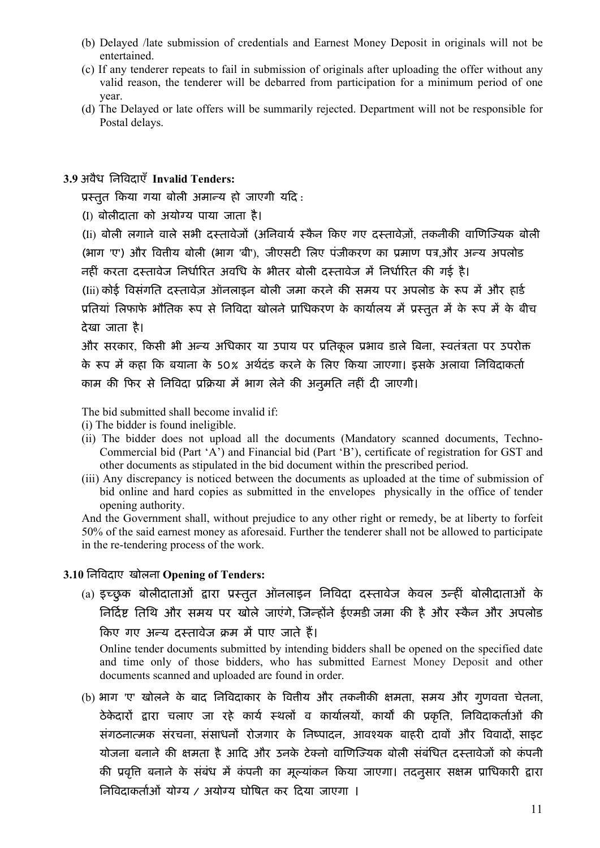- (b) Delayed /late submission of credentials and Earnest Money Deposit in originals will not be entertained.
- (c) If any tenderer repeats to fail in submission of originals after uploading the offer without any valid reason, the tenderer will be debarred from participation for a minimum period of one year.
- (d) The Delayed or late offers will be summarily rejected. Department will not be responsible for Postal delays.

### 3.9 अवैध निविदाएँ Invalid Tenders:

प्रस्तुत किया गया बोली अमान्य हो जाएगी यदि:

(I) बोलीदाता को अयोग्य पाया जाता है।

(Ii) बोली लगाने वाले सभी दस्तावेजों (अनिवार्य स्कैन किए गए दस्तावेज़ों, तकनीकी वाणिज्यिक बोली (भाग 'ए') और वित्तीय बोली (भाग 'बी'), जीएसटी लिए पंजीकरण का प्रमाण पत्र.और अन्य अपलोड नहीं करता दस्तावेज निर्धारित अवधि के भीतर बोली दस्तावेज में निर्धारित की गई है।

(Iii) कोई विसंगति दस्तावेज़ ऑनलाइन बोली जमा करने की समय पर अपलोड के रूप में और हार्ड प्रतियां लिफाफे भौतिक रूप से निविदा खोलने प्राधिकरण के कार्यालय में प्रस्तुत में के रूप में के बीच देखा जाता है।

और सरकार, किसी भी अन्य अधिकार या उपाय पर प्रतिकूल प्रभाव डाले बिना, स्वतंत्रता पर उपरोक्त के रूप में कहा कि बयाना के 50% अर्थदंड करने के लिए किया जाएगा। इसके अलावा निविदाकर्ता काम की फिर से निविदा प्रक्रिया में भाग लेने की अनुमति नहीं दी जाएगी।

The bid submitted shall become invalid if:

- (i) The bidder is found ineligible.
- (ii) The bidder does not upload all the documents (Mandatory scanned documents, Techno-Commercial bid (Part 'A') and Financial bid (Part 'B'), certificate of registration for GST and other documents as stipulated in the bid document within the prescribed period.
- (iii) Any discrepancy is noticed between the documents as uploaded at the time of submission of bid online and hard copies as submitted in the envelopes physically in the office of tender opening authority.

And the Government shall, without prejudice to any other right or remedy, be at liberty to forfeit 50% of the said earnest money as aforesaid. Further the tenderer shall not be allowed to participate in the re-tendering process of the work.

#### 3.10 निविदाए खोलना Opening of Tenders:

(a) इच्छुक बोलीदाताओं द्वारा प्रस्तुत ऑनलाइन निविदा दस्तावेज केवल उन्हीं बोलीदाताओं के निर्दिष्ट तिथि और समय पर खोले जाएंगे, जिन्होंने ईएमडी जमा की है और स्कैन और अपलोड किए गए अन्य दस्तावेज क्रम में पाए जाते हैं।

Online tender documents submitted by intending bidders shall be opened on the specified date and time only of those bidders, who has submitted Earnest Money Deposit and other documents scanned and uploaded are found in order.

(b) भाग 'ए' खोलने के बाद निविदाकार के वित्तीय और तकनीकी क्षमता, समय और गूणवत्ता चेतना, ठेकेदारों द्वारा चलाए जा रहे कार्य स्थलों व कार्यालयों, कार्यों की प्रकृति, निविदाकर्ताओं की संगठनात्मक संरचना, संसाधनों रोजगार के निष्पादन, आवश्यक बाहरी दावों और विवादों, साइट योजना बनाने की क्षमता है आदि और उनके टेक्नो वाणिज्यिक बोली संबंधित दस्तावेजों को कंपनी की प्रवृत्ति बनाने के संबंध में कंपनी का मूल्यांकन किया जाएगा। तदनुसार सक्षम प्राधिकारी द्वारा निविदाकर्ताओं योग्य / अयोग्य घोषित कर दिया जाएगा ।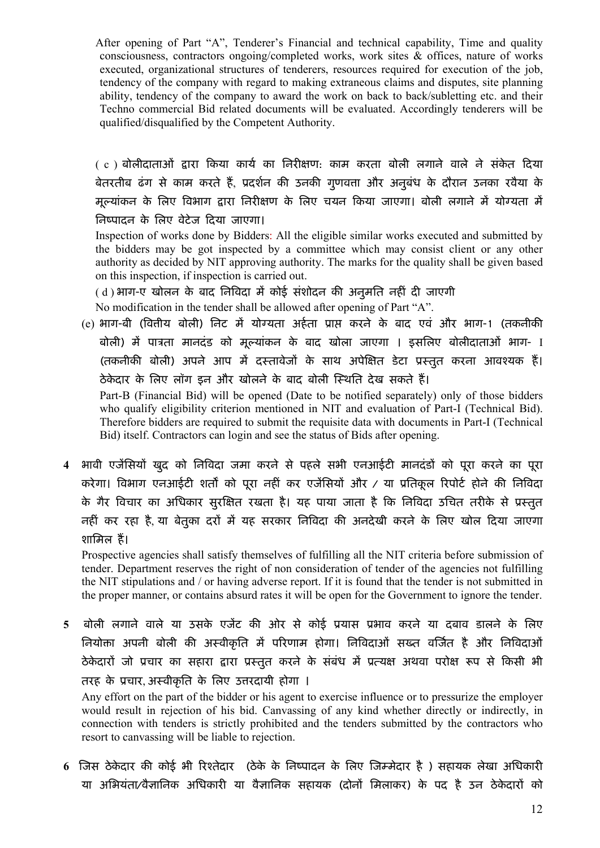After opening of Part "A", Tenderer's Financial and technical capability, Time and quality consciousness, contractors ongoing/completed works, work sites & offices, nature of works executed, organizational structures of tenderers, resources required for execution of the job, tendency of the company with regard to making extraneous claims and disputes, site planning ability, tendency of the company to award the work on back to back/subletting etc. and their Techno commercial Bid related documents will be evaluated. Accordingly tenderers will be qualified/disqualified by the Competent Authority.

( c ) बोलीदाताओं द्वारा किया कार्य का निरीक्षण: काम करता बोली लगाने वाले ने संकेत दिया बेतरतीब ढंग से काम करते हैं. प्रदर्शन की उनकी गणवत्ता और अनुबंध के दौरान उनका रवैया के मूल्यांकन के लिए विभाग द्वारा निरीक्षण के लिए चयन किया जाएगा। बोली लगाने में योग्यता में निष्पादन के लिए वेटेज दिया जाएगा।

Inspection of works done by Bidders: All the eligible similar works executed and submitted by the bidders may be got inspected by a committee which may consist client or any other authority as decided by NIT approving authority. The marks for the quality shall be given based on this inspection, if inspection is carried out.

( d ) भाग-ए खोलन के बाद निविदा में कोई संशोदन की अनुमति नहीं दी जाएगी No modification in the tender shall be allowed after opening of Part "A".

(e) भाग-बी (वित्तीय बोली) निट में योग्यता अर्हता प्राप्त करने के बाद एवं और भाग-1 (तकनीकी बोली) में पात्रता मानदंड को मूल्यांकन के बाद खोला जाएगा । इसलिए बोलीदाताओं भाग- I (तकनीकी बोली) अपने आप में दस्तावेजों के साथ अपेक्षित डेटा प्रस्तुत करना आवश्यक हैं। ठेकेदार के लिए लॉग इन और खोलने के बाद बोली स्थिति देख सकते हैं। Part-B (Financial Bid) will be opened (Date to be notified separately) only of those bidders who qualify eligibility criterion mentioned in NIT and evaluation of Part-I (Technical Bid).

Therefore bidders are required to submit the requisite data with documents in Part-I (Technical Bid) itself. Contractors can login and see the status of Bids after opening.

4 भावी एजेंसियों खुद को निविदा जमा करने से पहले सभी एनआईटी मानदंडों को पूरा करने का पूरा करेगा। विभाग एनआईटी शर्तों को पूरा नहीं कर एजेंसियों और / या प्रतिकूल रिपोर्ट होने की निविदा के गैर विचार का अधिकार सुरक्षित रखता है। यह पाया जाता है कि निविदा उचित तरीके से प्रस्तुत नहीं कर रहा है, या बेतूका दरों में यह सरकार निविदा की अनदेखी करने के लिए खोल दिया जाएगा शामिल हैं।

Prospective agencies shall satisfy themselves of fulfilling all the NIT criteria before submission of tender. Department reserves the right of non consideration of tender of the agencies not fulfilling the NIT stipulations and / or having adverse report. If it is found that the tender is not submitted in the proper manner, or contains absurd rates it will be open for the Government to ignore the tender.

5 बोली लगाने वाले या उसके एजेंट की ओर से कोई प्रयास प्रभाव करने या दबाव डालने के लिए नियोक्ता अपनी बोली की अस्वीकृति में परिणाम होगा। निविदाओं सख्त वर्जित है और निविदाओं ठेकेदारों जो प्रचार का सहारा द्वारा प्रस्तुत करने के संबंध में प्रत्यक्ष अथवा परोक्ष रूप से किसी भी तरह के प्रचार, अस्वीकृति के लिए उत्तरदायी होगा ।

Any effort on the part of the bidder or his agent to exercise influence or to pressurize the employer would result in rejection of his bid. Canvassing of any kind whether directly or indirectly, in connection with tenders is strictly prohibited and the tenders submitted by the contractors who resort to canvassing will be liable to rejection.

6 जिस ठेकेदार की कोई भी रिश्तेदार (ठेके के निष्पादन के लिए जिम्मेदार है ) सहायक लेखा अधिकारी या अभियंता/वैज्ञानिक अधिकारी या वैज्ञानिक सहायक (दोनों मिलाकर) के पद है उन ठेकेदारों को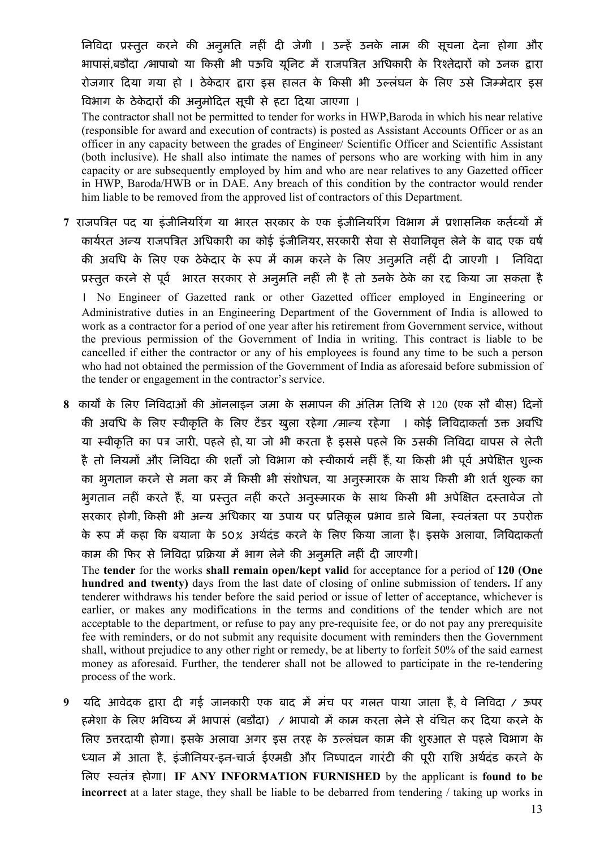निविदा प्रस्तुत करने की अनुमति नहीं दी जेगी । उन्हें उनके नाम की सूचना देना होगा और भापासं,बडौदा /भापाबो या किसी भी पऊवि यूनिट में राजपत्रित अधिकारी के रिश्तेदारों को उनक द्वारा रोजगार दिया गया हो । ठेकेदार द्वारा इस हालत के किसी भी उल्लंघन के लिए उसे जिम्मेदार इस विभाग के ठेकेदारों की अनुमोदित सूची से हटा दिया जाएगा ।

The contractor shall not be permitted to tender for works in HWP,Baroda in which his near relative (responsible for award and execution of contracts) is posted as Assistant Accounts Officer or as an officer in any capacity between the grades of Engineer/ Scientific Officer and Scientific Assistant (both inclusive). He shall also intimate the names of persons who are working with him in any capacity or are subsequently employed by him and who are near relatives to any Gazetted officer in HWP, Baroda/HWB or in DAE. Any breach of this condition by the contractor would render him liable to be removed from the approved list of contractors of this Department.

7 राजपत्रित पद या इंजीनियरिंग या भारत सरकार के एक इंजीनियरिंग विभाग में प्रशासनिक कर्तव्यों में कार्यरत अन्य राजपत्रित अधिकारी का कोई इंजीनियर, सरकारी सेवा से सेवानिवृत्त लेने के बाद एक वर्ष की अवधि के लिए एक ठेकेदार के रूप में काम करने के लिए अनुमति नहीं दी जाएगी । निविदा प्रस्तुत करने से पूर्व भारत सरकार से अनुमति नहीं ली है तो उनके ठेके का रद्द किया जा सकता है । No Engineer of Gazetted rank or other Gazetted officer employed in Engineering or Administrative duties in an Engineering Department of the Government of India is allowed to work as a contractor for a period of one year after his retirement from Government service, without the previous permission of the Government of India in writing. This contract is liable to be cancelled if either the contractor or any of his employees is found any time to be such a person who had not obtained the permission of the Government of India as aforesaid before submission of the tender or engagement in the contractor's service.

8 कार्यों के लिए निविदाओं की ऑनलाइन जमा के समापन की अंतिम तिथि से 120 (एक सौ बीस) दिनों की अवधि के लिए स्वीकृति के लिए टेंडर खुला रहेगा /मान्य रहेगा । कोई निविदाकर्ता उक्त अवधि या स्वीकृति का पत्र जारी, पहले हो, या जो भी करता है इससे पहले कि उसकी निविदा वापस ले लेती है तो नियमों और निविदा की शर्तों जो विभाग को स्वीकार्य नहीं हैं, या किसी भी पूर्व अपेक्षित शुल्क का भुगतान करने से मना कर में किसी भी संशोधन, या अनुस्मारक के साथ किसी भी शर्त शुल्क का भुगतान नहीं करते हैं, या प्रस्तुत नहीं करते अनुस्मारक के साथ किसी भी अपेक्षित दस्तावेज तो सरकार होगी, किसी भी अन्य अधिकार या उपाय पर प्रतिकूल प्रभाव डाले बिना, स्वतंत्रता पर उपरोक्त के रूप में कहा कि बयाना के 50% अर्थदंड करने के लिए किया जाना है। इसके अलावा, निविदाकर्ता काम की फिर से निविदा प्रक्रिया में भाग लेने की अनुमति नहीं दी जाएगी।

The tender for the works shall remain open/kept valid for acceptance for a period of 120 (One hundred and twenty) days from the last date of closing of online submission of tenders. If any tenderer withdraws his tender before the said period or issue of letter of acceptance, whichever is earlier, or makes any modifications in the terms and conditions of the tender which are not acceptable to the department, or refuse to pay any pre-requisite fee, or do not pay any prerequisite fee with reminders, or do not submit any requisite document with reminders then the Government shall, without prejudice to any other right or remedy, be at liberty to forfeit 50% of the said earnest money as aforesaid. Further, the tenderer shall not be allowed to participate in the re-tendering process of the work.

 $9$  यदि आवेदक द्वारा दी गई जानकारी एक बाद में मंच पर गलत पाया जाता है, वे निविदा / ऊपर हमेशा के लिए भविष्य में भापासं (बडौदा) / भापाबो में काम करता लेने से वंचित कर दिया करने के त्रिए उत्तरदायी होगा। इसके अलावा अगर इस तरह के उल्लंघन काम की शुरुआत से पहले विभाग के ध्यान में आता है, इंजीनियर-इन-चार्ज ईएमडी और निष्पादन गारंटी की पूरी राशि अर्थदंड करने के िलए èवतंğ होगा। IF ANY INFORMATION FURNISHED by the applicant is found to be incorrect at a later stage, they shall be liable to be debarred from tendering / taking up works in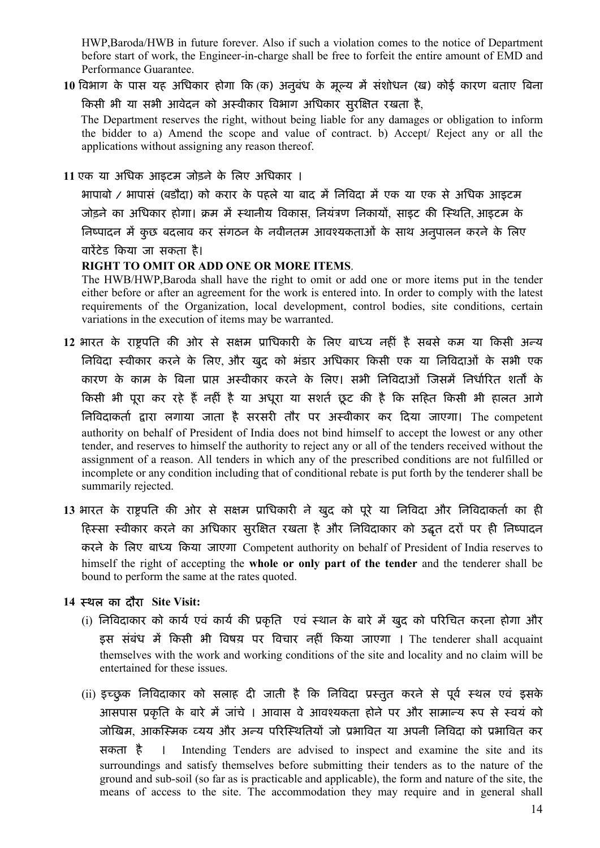HWP,Baroda/HWB in future forever. Also if such a violation comes to the notice of Department before start of work, the Engineer-in-charge shall be free to forfeit the entire amount of EMD and Performance Guarantee.

10 विभाग के पास यह अधिकार होगा कि (क) अनुबंध के मूल्य में संशोधन (ख) कोई कारण बताए बिना किसी भी या सभी आवेदन को अस्वीकार विभाग अधिकार सुरक्षित रखता है,

 The Department reserves the right, without being liable for any damages or obligation to inform the bidder to a) Amend the scope and value of contract. b) Accept/ Reject any or all the applications without assigning any reason thereof.

11 एक या अिधक आइटम जोड़ने के िलए अिधकार ।

भापाबो / भापासं (बडौदा) को करार के पहले या बाद में निविदा में एक या एक से अधिक आइटम जोड़ने का अधिकार होगा। क्रम में स्थानीय विकास, नियंत्रण निकायों, साइट की स्थिति, आइटम के निष्पादन में कुछ बदलाव कर संगठन के नवीनतम आवश्यकताओं के साथ अनुपालन करने के लिए वारेंटेड किया जा सकता है।

### RIGHT TO OMIT OR ADD ONE OR MORE ITEMS.

The HWB/HWP,Baroda shall have the right to omit or add one or more items put in the tender either before or after an agreement for the work is entered into. In order to comply with the latest requirements of the Organization, local development, control bodies, site conditions, certain variations in the execution of items may be warranted.

- 12 भारत के राष्ट्रपति की ओर से सक्षम प्राधिकारी के लिए बाध्य नहीं है सबसे कम या किसी अन्य निविदा स्वीकार करने के लिए और खुद को भंडार अधिकार किसी एक या निविदाओं के सभी एक कारण के काम के बिना प्राप्त अस्वीकार करने के लिए। सभी निविदाओं जिसमें निर्धारित शर्तों के किसी भी पूरा कर रहे हैं नहीं है या अधूरा या सशर्त छूट की है कि सहित किसी भी हालत आगे िनǒवदाकता[ Ʈारा लगाया जाता है सरसरȣ तौर पर अèवीकार कर Ǒदया जाएगा। The competent authority on behalf of President of India does not bind himself to accept the lowest or any other tender, and reserves to himself the authority to reject any or all of the tenders received without the assignment of a reason. All tenders in which any of the prescribed conditions are not fulfilled or incomplete or any condition including that of conditional rebate is put forth by the tenderer shall be summarily rejected.
- 13 भारत के राष्ट्रपति की ओर से सक्षम प्राधिकारी ने खुद को पूरे या निविदा और निविदाकर्ता का ही हिस्सा स्वीकार करने का अधिकार सुरक्षित रखता है और निविदाकार को उद्धत दरों पर ही निष्पादन करने के लिए बाध्य किया जाएगा Competent authority on behalf of President of India reserves to himself the right of accepting the whole or only part of the tender and the tenderer shall be bound to perform the same at the rates quoted.

## 14 èथल का दौरा Site Visit:

- (i) निविदाकार को कार्य एवं कार्य की प्रकृति एवं स्थान के बारे में खुद को परिचित करना होगा और इस संबंध में किसी भी विषय़ पर विचार नहीं किया जाएगा । The tenderer shall acquaint themselves with the work and working conditions of the site and locality and no claim will be entertained for these issues.
- (ii) इच्छुक निविदाकार को सलाह दी जाती है कि निविदा प्रस्तुत करने से पूर्व स्थल एवं इसके आसपास प्रकृति के बारे में जांचे । आवास वे आवश्यकता होने पर और सामान्य रूप से स्वयं को जोखिम, आकस्मिक व्यय और अन्य परिस्थितियों जो प्रभावित या अपनी निविदा को प्रभावित कर सकता है । Intending Tenders are advised to inspect and examine the site and its surroundings and satisfy themselves before submitting their tenders as to the nature of the ground and sub-soil (so far as is practicable and applicable), the form and nature of the site, the means of access to the site. The accommodation they may require and in general shall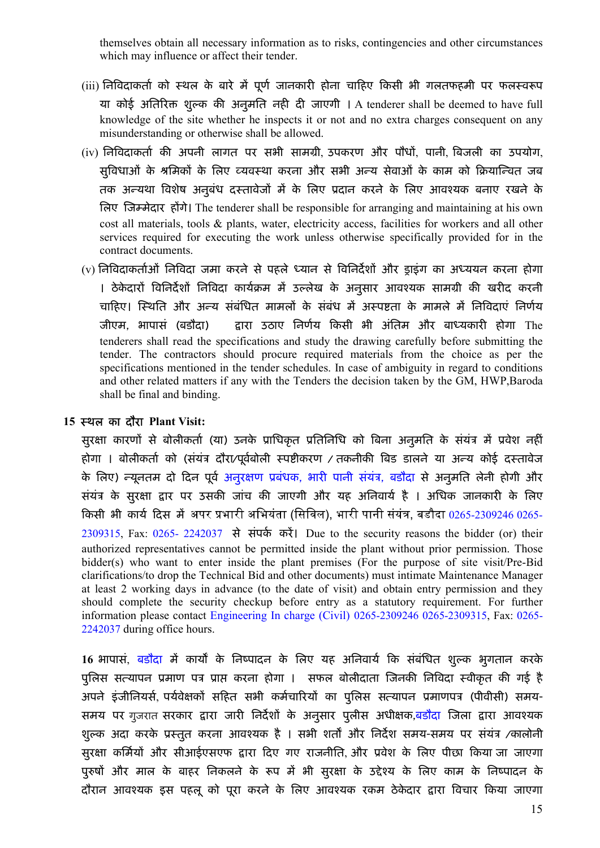themselves obtain all necessary information as to risks, contingencies and other circumstances which may influence or affect their tender.

- (iii) निविदाकर्ता को स्थल के बारे में पूर्ण जानकारी होना चाहिए किसी भी गलतफहमी पर फलस्वरूप या कोई अतिरिक्त शुल्क की अनुमति नही दी जाएगी । A tenderer shall be deemed to have full knowledge of the site whether he inspects it or not and no extra charges consequent on any misunderstanding or otherwise shall be allowed.
- (iv) निविदाकर्ता की अपनी लागत पर सभी सामग्री, उपकरण और पौधों, पानी, बिजली का उपयोग, सुविधाओं के श्रमिकों के लिए व्यवस्था करना और सभी अन्य सेवाओं के काम को क्रियान्वित जब तक अन्यथा विशेष अनुबंध दस्तावेजों में के लिए प्रदान करने के लिए आवश्यक बनाए रखने के लिए जिम्मेदार होंगे। The tenderer shall be responsible for arranging and maintaining at his own cost all materials, tools & plants, water, electricity access, facilities for workers and all other services required for executing the work unless otherwise specifically provided for in the contract documents.
- (v) निविदाकर्ताओं निविदा जमा करने से पहले ध्यान से विनिर्देशों और ड्राइंग का अध्ययन करना होगा । ठेकेदारों विनिर्देशों निविदा कार्यक्रम में उल्लेख के अनुसार आवश्यक सामग्री की खरीद करनी चाहिए। स्थिति और अन्य संबंधित मामलों के संबंध में अस्पष्टता के मामले में निविदाएं निर्णय जीएम, भापासं (बडौदा) द्वारा उठाए निर्णय किसी भी अंतिम और बाध्यकारी होगा The tenderers shall read the specifications and study the drawing carefully before submitting the tender. The contractors should procure required materials from the choice as per the specifications mentioned in the tender schedules. In case of ambiguity in regard to conditions and other related matters if any with the Tenders the decision taken by the GM, HWP,Baroda shall be final and binding.

#### 15 èथल का दौरा Plant Visit:

सुरक्षा कारणों से बोलीकर्ता (या) उनके प्राधिकृत प्रतिनिधि को बिना अनुमति के संयंत्र में प्रवेश नहीं होगा । बोलीकर्ता को (संयंत्र दौरा/पूर्वबोली स्पष्टीकरण / तकनीकी बिड डालने या अन्य कोई दस्तावेज के लिए) न्यूनतम दो दिन पूर्व अनुरक्षण प्रबंधक, भारी पानी संयंत्र, बडौदा से अनुमति लेनी होगी और संयंत्र के सुरक्षा द्वार पर उसकी जांच की जाएगी और यह अनिवार्य है । अधिक जानकारी के लिए किसी भी कार्य दिस में अपर प्रभारी अभियंता (सिविल), भारी पानी संयंत्र, बडौदा 0265-2309246 0265-2309315, Fax: 0265- 2242037 से संपर्क करें। Due to the security reasons the bidder (or) their authorized representatives cannot be permitted inside the plant without prior permission. Those bidder(s) who want to enter inside the plant premises (For the purpose of site visit/Pre-Bid clarifications/to drop the Technical Bid and other documents) must intimate Maintenance Manager at least 2 working days in advance (to the date of visit) and obtain entry permission and they should complete the security checkup before entry as a statutory requirement. For further information please contact Engineering In charge (Civil) 0265-2309246 0265-2309315, Fax: 0265- 2242037 during office hours.

16 भापासं, बडौदा में कार्यों के निष्पादन के लिए यह अनिवार्य कि संबंधित शुल्क भुगतान करके पुलिस सत्यापन प्रमाण पत्र प्राप्त करना होगा । सफल बोलीदाता जिनकी निविदा स्वीकृत की गई है अपने इंजीनियर्स, पर्यवेक्षकों सहित सभी कर्मचारियों का पुलिस सत्यापन प्रमाणपत्र (पीवीसी) समय-समय पर गुजरात सरकार द्वारा जारी निर्देशों के अनुसार पुलीस अधीक्षक,<mark>बडौदा जिला द्वारा आवश्यक</mark> शुल्क अदा करके प्रस्तुत करना आवश्यक है । सभी शर्तों और निर्देश समय-समय पर संयंत्र /कालोनी सुरक्षा कर्मियों और सीआईएसएफ द्वारा दिए गए राजनीति, और प्रवेश के लिए पीछा किया जा जाएगा पुरुषों और माल के बाहर निकलने के रूप में भी सुरक्षा के उद्देश्य के लिए काम के निष्पादन के दौरान आवश्यक इस पहलू को पूरा करने के लिए आवश्यक रकम ठेकेदार द्वारा विचार किया जाएगा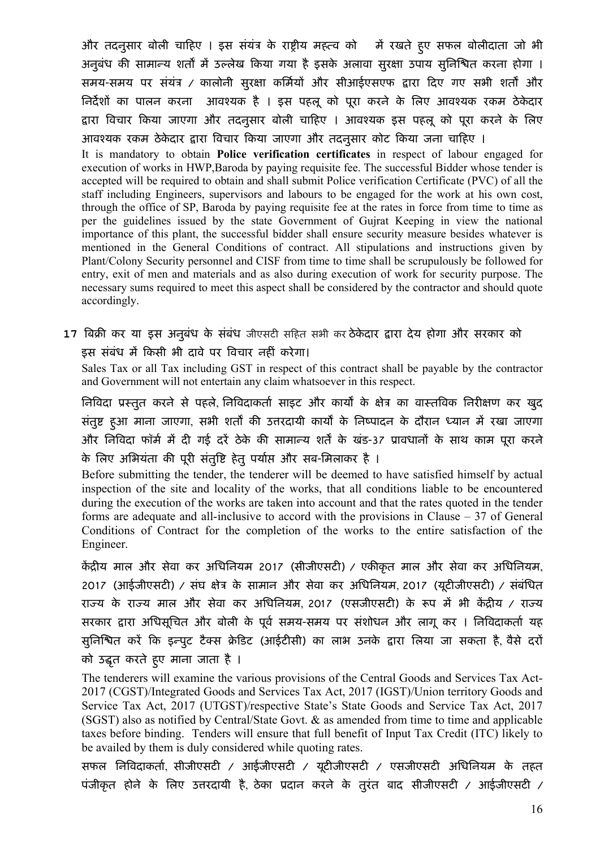और तदनुसार बोली चाहिए । इस संयंत्र के राष्ट्रीय महत्व को मिं रखते हुए सफल बोलीदाता जो भी अनुबंध की सामान्य शर्तों में उल्लेख किया गया है इसके अलावा सुरक्षा उपाय सुनिश्घित करना होगा । समय-समय पर संयंत्र / कालोनी सुरक्षा कर्मियों और सीआईएसएफ द्वारा दिए गए सभी शर्तों और निर्देशों का पालन करना आवश्यक है । इस पहलू को पूरा करने के लिए आवश्यक रकम ठेकेदार द्वारा विचार किया जाएगा और तदनुसार बोली चाहिए । आवश्यक इस पहलू को पूरा करने के लिए आवश्यक रकम ठेकेदार द्वारा विचार किया जाएगा और तदनुसार कोट किया जना चाहिए ।

It is mandatory to obtain Police verification certificates in respect of labour engaged for execution of works in HWP,Baroda by paying requisite fee. The successful Bidder whose tender is accepted will be required to obtain and shall submit Police verification Certificate (PVC) of all the staff including Engineers, supervisors and labours to be engaged for the work at his own cost, through the office of SP, Baroda by paying requisite fee at the rates in force from time to time as per the guidelines issued by the state Government of Gujrat Keeping in view the national importance of this plant, the successful bidder shall ensure security measure besides whatever is mentioned in the General Conditions of contract. All stipulations and instructions given by Plant/Colony Security personnel and CISF from time to time shall be scrupulously be followed for entry, exit of men and materials and as also during execution of work for security purpose. The necessary sums required to meet this aspect shall be considered by the contractor and should quote accordingly.

17 बिक्री कर या इस अनुबंध के संबंध जीएसटी सहित सभी कर ठेकेदार द्वारा देय होगा और सरकार को इस संबंध में किसी भी दावे पर विचार नहीं करेगा।

Sales Tax or all Tax including GST in respect of this contract shall be payable by the contractor and Government will not entertain any claim whatsoever in this respect.

निविदा प्रस्तुत करने से पहले, निविदाकर्ता साइट और कार्यों के क्षेत्र का वास्तविक निरीक्षण कर खुद संतुष्ट हुआ माना जाएगा, सभी शर्तों की उत्तरदायी कार्यों के निष्पादन के दौरान ध्यान में रखा जाएगा और निविदा फॉर्म में दी गई दरें ठेके की सामान्य शर्तें के खंड-37 प्रावधानों के साथ काम पूरा करने के लिए अभियंता की पूरी संतुष्टि हेतु पर्याप्त और सब-मिलाकर है ।

Before submitting the tender, the tenderer will be deemed to have satisfied himself by actual inspection of the site and locality of the works, that all conditions liable to be encountered during the execution of the works are taken into account and that the rates quoted in the tender forms are adequate and all-inclusive to accord with the provisions in Clause  $-37$  of General Conditions of Contract for the completion of the works to the entire satisfaction of the Engineer.

केंद्रीय माल और सेवा कर अधिनियम 2017 (सीजीएसटी) / एकीकृत माल और सेवा कर अधिनियम, 2017 (आईजीएसटी) / संघ क्षेत्र के सामान और सेवा कर अधिनियम, 2017 (यूटीजीएसटी) / संबंधित राज्य के राज्य माल और सेवा कर अधिनियम, 2017 (एसजीएसटी) के रूप में भी केंद्रीय / राज्य सरकार द्वारा अधिसूचित और बोली के पूर्व समय-समय पर संशोधन और लागू कर । निविदाकर्ता यह सुनिश्चित करें कि इन्पुट टैक्स क्रेडिट (आईटीसी) का लाभ उनके द्वारा लिया जा सकता है, वैसे दरों को उद्धृत करते हुए माना जाता है ।

The tenderers will examine the various provisions of the Central Goods and Services Tax Act-2017 (CGST)/Integrated Goods and Services Tax Act, 2017 (IGST)/Union territory Goods and Service Tax Act, 2017 (UTGST)/respective State's State Goods and Service Tax Act, 2017 (SGST) also as notified by Central/State Govt. & as amended from time to time and applicable taxes before binding. Tenders will ensure that full benefit of Input Tax Credit (ITC) likely to be availed by them is duly considered while quoting rates.

सफल निविदाकर्ता, सीजीएसटी / आईजीएसटी / यूटीजीएसटी / एसजीएसटी अधिनियम के तहत पंजीकृत होने के लिए उत्तरदायी है, ठेका प्रदान करने के तुरंत बाद सीजीएसटी / आईजीएसटी /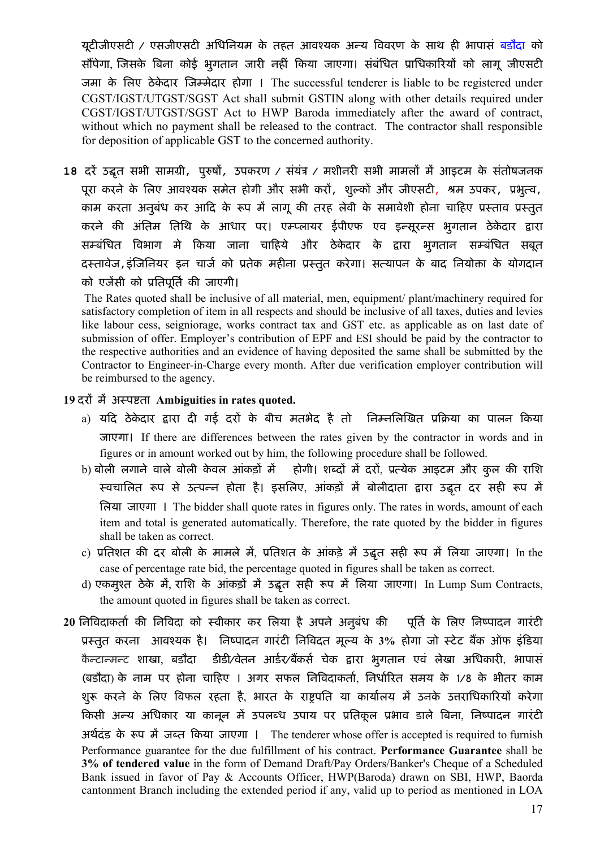यूटीजीएसटी / एसजीएसटी अधिनियम के तहत आवश्यक अन्य विवरण के साथ ही भापासं <mark>बडौदा</mark> को सौंपेगा, जिसके बिना कोई भूगतान जारी नहीं किया जाएगा। संबंधित प्राधिकारियों को लागू जीएसटी जमा के लिए ठेकेदार जिम्मेदार होगा । The successful tenderer is liable to be registered under CGST/IGST/UTGST/SGST Act shall submit GSTIN along with other details required under CGST/IGST/UTGST/SGST Act to HWP Baroda immediately after the award of contract, without which no payment shall be released to the contract. The contractor shall responsible for deposition of applicable GST to the concerned authority.

18 दरें उद्धत सभी सामग्री, पुरुषों, उपकरण / संयंत्र / मशीनरी सभी मामलों में आइटम के संतोषजनक पूरा करने के लिए आवश्यक समेत होगी और सभी करों, शुल्कों और जीएसटी, श्रम उपकर, प्रभुत्व, काम करता अनुबंध कर आदि के रूप में लागू की तरह लेवी के समावेशी होना चाहिए प्रस्ताव प्रस्तुत करने की अंतिम तिथि के आधार पर। एम्प्लायर ईपीएफ एव इन्सूरन्स भुगतान ठेकेदार द्वारा सम्बंधित विभाग मे किया जाना चाहिये और ठेकेदार के द्वारा भुगतान सम्बंधित सबूत दस्तावेज,इंजिनियर इन चार्ज को प्रतेक महीना प्रस्तुत करेगा। सत्यापन के बाद नियोक्ता के योगदान को एजेंसी को प्रतिपर्ति की जाएगी।

The Rates quoted shall be inclusive of all material, men, equipment/ plant/machinery required for satisfactory completion of item in all respects and should be inclusive of all taxes, duties and levies like labour cess, seigniorage, works contract tax and GST etc. as applicable as on last date of submission of offer. Employer's contribution of EPF and ESI should be paid by the contractor to the respective authorities and an evidence of having deposited the same shall be submitted by the Contractor to Engineer-in-Charge every month. After due verification employer contribution will be reimbursed to the agency.

### 19 दरों में अस्पष्टता Ambiguities in rates quoted.

- a) यदि ठेकेदार द्वारा दी गई दरों के बीच मतभेद है तो निम्नलिखित प्रक्रिया का पालन किया जाएगा। If there are differences between the rates given by the contractor in words and in figures or in amount worked out by him, the following procedure shall be followed.
- b) बोली लगाने वाले बोली केवल आंकड़ों में होगी। शब्दों में दरों, प्रत्येक आइटम और कुल की राशि स्वचालित रूप से उत्पन्न होता है। इसलिए, आंकड़ों में बोलीदाता द्वारा उद्धत दर सही रूप में िलया जाएगा । The bidder shall quote rates in figures only. The rates in words, amount of each item and total is generated automatically. Therefore, the rate quoted by the bidder in figures shall be taken as correct.
- c) प्रतिशत की दर बोली के मामले में, प्रतिशत के आंकड़े में उद्धत सही रूप में लिया जाएगा। In the case of percentage rate bid, the percentage quoted in figures shall be taken as correct.
- d) एकमुश्त ठेके में, राशि के आंकड़ों में उद्धत सही रूप में लिया जाएगा। In Lump Sum Contracts, the amount quoted in figures shall be taken as correct.
- 20 निविदाकर्ता की निविदा को स्वीकार कर लिया है अपने अनुबंध की पूर्ति के लिए निष्पादन गारंटी प्रस्तुत करना आवश्यक है। निष्पादन गारंटी निविदत मूल्य के 3% होगा जो स्टेट बैंक ऑफ इंडिया कैन्टान्मन्ट शाखा, बडौदा डीडी∕वेतन आर्डर∕बैंकर्स चेक द्वारा भुगतान एवं लेखा अधिकारी, भापासं (बडौदा) के नाम पर होना चाहिए । अगर सफल निविदाकर्ता, निर्धारित समय के 1/8 के भीतर काम शुरू करने के लिए विफल रहता है, भारत के राष्ट्रपति या कार्यालय में उनके उत्तराधिकारियों करेगा किसी अन्य अधिकार या कानून में उपलब्ध उपाय पर प्रतिकूल प्रभाव डाले बिना, निष्पादन गारंटी अर्थदंड के रूप में जब्त किया जाएगा । The tenderer whose offer is accepted is required to furnish Performance guarantee for the due fulfillment of his contract. Performance Guarantee shall be 3% of tendered value in the form of Demand Draft/Pay Orders/Banker's Cheque of a Scheduled Bank issued in favor of Pay & Accounts Officer, HWP(Baroda) drawn on SBI, HWP, Baorda cantonment Branch including the extended period if any, valid up to period as mentioned in LOA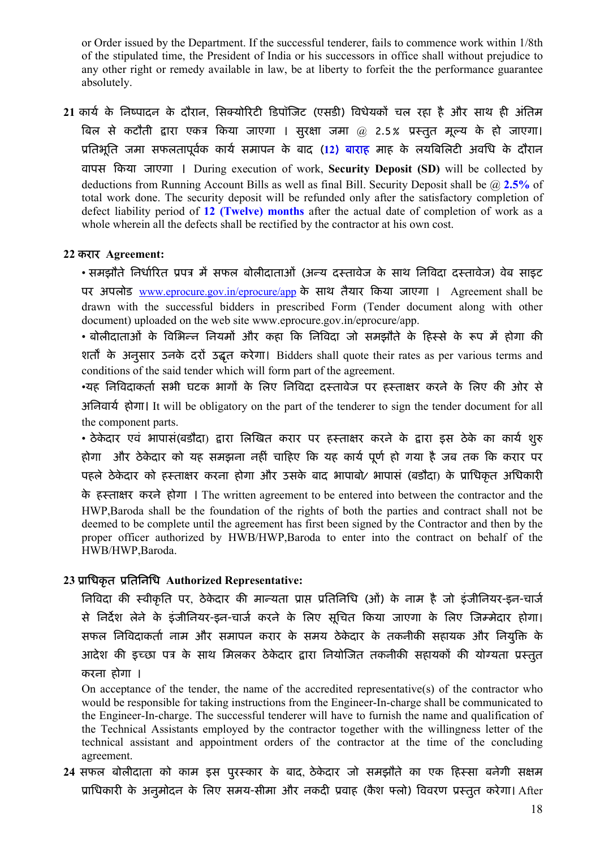or Order issued by the Department. If the successful tenderer, fails to commence work within 1/8th of the stipulated time, the President of India or his successors in office shall without prejudice to any other right or remedy available in law, be at liberty to forfeit the the performance guarantee absolutely.

21 कार्य के निष्पादन के दौरान, सिक्योरिटी डिपॉजिट (एसडी) विधेयकों चल रहा है और साथ ही अंतिम बिल से कटौती द्वारा एकत्र किया जाएगा । सुरक्षा जमा @ 2.5% प्रस्तुत मूल्य के हो जाएगा। प्रतिभूति जमा सफलतापूर्वक कार्य समापन के बाद (12) <mark>बाराह</mark> माह के लयबिलिटी अवधि के दौरान वापस Ǒकया जाएगा । During execution of work, Security Deposit (SD) will be collected by deductions from Running Account Bills as well as final Bill. Security Deposit shall be  $\omega$  2.5% of total work done. The security deposit will be refunded only after the satisfactory completion of defect liability period of 12 (Twelve) months after the actual date of completion of work as a whole wherein all the defects shall be rectified by the contractor at his own cost.

#### 22 करार Agreement:

• समझौते निर्धारित प्रपत्र में सफल बोलीदाताओं (अन्य दस्तावेज के साथ निविदा दस्तावेज) वेब साइट पर अपलोड www.eprocure.gov.in/eprocure/app के साथ तैयार किया जाएगा । Agreement shall be drawn with the successful bidders in prescribed Form (Tender document along with other document) uploaded on the web site www.eprocure.gov.in/eprocure/app.

• बोलीदाताओं के विभिन्न नियमों और कहा कि निविदा जो समझौते के हिस्से के रूप में होगा की शर्तों के अनुसार उनके दरों उद्धत करेगा। Bidders shall quote their rates as per various terms and conditions of the said tender which will form part of the agreement.

•यह निविदाकर्ता सभी घटक भागों के लिए निविदा दस्तावेज पर हस्ताक्षर करने के लिए की ओर से अनिवार्य होगा। It will be obligatory on the part of the tenderer to sign the tender document for all the component parts.

• ठेकेदार एवं भापासं(बडौदा) द्वारा लिखित करार पर हस्ताक्षर करने के द्वारा इस ठेके का कार्य शुरु होगा और ठेकेदार को यह समझना नहीं चाहिए कि यह कार्य पूर्ण हो गया है जब तक कि करार पर पहले ठेकेदार को हस्ताक्षर करना होगा और उसके बाद भापाबो⁄ भापासं (बडौदा) के प्राधिकृत अधिकारी

के हèता¢र करने होगा । The written agreement to be entered into between the contractor and the HWP,Baroda shall be the foundation of the rights of both the parties and contract shall not be deemed to be complete until the agreement has first been signed by the Contractor and then by the proper officer authorized by HWB/HWP,Baroda to enter into the contract on behalf of the HWB/HWP,Baroda.

### 23 प्राधिकृत प्रतिनिधि Authorized Representative:

निविदा की स्वीकृति पर, ठेकेदार की मान्यता प्राप्त प्रतिनिधि (ओं) के नाम है जो इंजीनियर-इन-चार्ज से निर्देश लेने के इंजीनियर-इन-चार्ज करने के लिए सूचित किया जाएगा के लिए जिम्मेदार होगा। सफल निविदाकर्ता नाम और समापन करार के समय ठेकेदार के तकनीकी सहायक और नियुक्ति के आदेश की इच्छा पत्र के साथ मिलकर ठेकेदार द्वारा नियोजित तकनीकी सहायकों की योग्यता प्रस्तुत करना होगा ।

On acceptance of the tender, the name of the accredited representative(s) of the contractor who would be responsible for taking instructions from the Engineer-In-charge shall be communicated to the Engineer-In-charge. The successful tenderer will have to furnish the name and qualification of the Technical Assistants employed by the contractor together with the willingness letter of the technical assistant and appointment orders of the contractor at the time of the concluding agreement.

24 सफल बोलीदाता को काम इस पुरस्कार के बाद, ठेकेदार जो समझौते का एक हिस्सा बनेगी सक्षम प्राधिकारी के अनुमोदन के लिए समय-सीमा और नकदी प्रवाह (कैश फ्लो) विवरण प्रस्तुत करेगा। After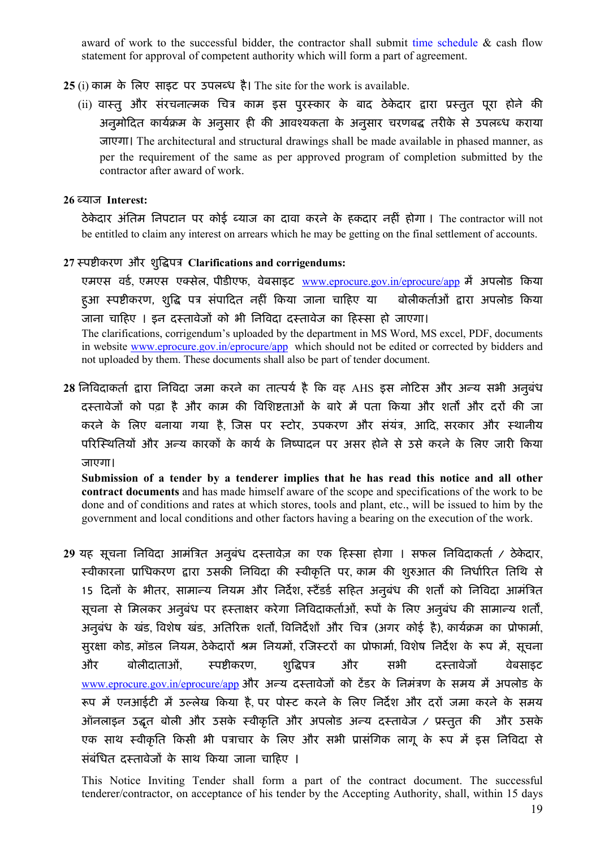award of work to the successful bidder, the contractor shall submit time schedule & cash flow statement for approval of competent authority which will form a part of agreement.

- 25 (i) काम के लिए साइट पर उपलब्ध है। The site for the work is available.
	- (ii) वास्तु और संरचनात्मक चित्र काम इस पुरस्कार के बाद ठेकेदार द्वारा प्रस्तुत पूरा होने की अनुमोदित कार्यक्रम के अनुसार ही की आवश्यकता के अनुसार चरणबद्ध तरीके से उपलब्ध कराया जाएगा। The architectural and structural drawings shall be made available in phased manner, as per the requirement of the same as per approved program of completion submitted by the contractor after award of work.

#### 26 Þयाज Interest:

ठेकेदार अंतिम निपटान पर कोई ब्याज का दावा करने के हकदार नहीं होगा । The contractor will not be entitled to claim any interest on arrears which he may be getting on the final settlement of accounts.

### 27 स्पष्टीकरण और शुद्धिपत्र Clarifications and corrigendums:

एमएस वर्ड, एमएस एक्सेल, पीडीएफ, वेबसाइट www.eprocure.gov.in/eprocure/app में अपलोड किया हुआ स्पष्टीकरण, शुद्धि पत्र संपादित नहीं किया जाना चाहिए या बोलीकर्ताओं द्वारा अपलोड किया जाना चाहिए । इन दस्तावेजों को भी निविदा दस्तावेज का हिस्सा हो जाएगा।

The clarifications, corrigendum's uploaded by the department in MS Word, MS excel, PDF, documents in website www.eprocure.gov.in/eprocure/app which should not be edited or corrected by bidders and not uploaded by them. These documents shall also be part of tender document.

28 निविदाकर्ता द्वारा निविदा जमा करने का तात्पर्य है कि वह AHS इस नोटिस और अन्य सभी अनुबंध दस्तावेजों को पढ़ा है और काम की विशिष्टताओं के बारे में पता किया और शर्तों और दरों की जा करने के लिए बनाया गया है, जिस पर स्टोर, उपकरण और संयंत्र, आदि, सरकार और स्थानीय परिस्थितियों और अन्य कारकों के कार्य के निष्पादन पर असर होने से उसे करने के लिए जारी किया जाएगा।

Submission of a tender by a tenderer implies that he has read this notice and all other contract documents and has made himself aware of the scope and specifications of the work to be done and of conditions and rates at which stores, tools and plant, etc., will be issued to him by the government and local conditions and other factors having a bearing on the execution of the work.

29 यह सूचना निविदा आमंत्रित अनुबंध दस्तावेज़ का एक हिस्सा होगा । सफल निविदाकर्ता / ठेकेदार, स्वीकारना प्राधिकरण द्वारा उसकी निविदा की स्वीकृति पर, काम की शुरुआत की निर्धारित तिथि से 15 दिनों के भीतर, सामान्य नियम और निर्देश, स्टैंडर्ड सहित अनुबंध की शर्तों को निविदा आमंत्रित सूचना से मिलकर अनुबंध पर हस्ताक्षर करेगा निविदाकर्ताओं, रूपों के लिए अनुबंध की सामान्य शर्तों, अनुबंध के खंड, विशेष खंड, अतिरिक्त शर्तों, विनिर्देशों और चित्र (अगर कोई है), कार्यक्रम का प्रोफार्मा, सुरक्षा कोड, मॉडल नियम, ठेकेदारों श्रम नियमों, रजिस्टरों का प्रोफार्मा, विशेष निर्देश के रूप में, सचना और बोलीदाताओं, स्पष्टीकरण, शुद्धिपत्र और सभी दस्तावेजों वेबसाइट www.eprocure.gov.in/eprocure/app और अन्य दस्तावेजों को टेंडर के निमंत्रण के समय में अपलोड के रूप में एनआईटी में उल्लेख किया है, पर पोस्ट करने के लिए निर्देश और दरों जमा करने के समय ऑनलाइन उद्धृत बोली और उसके स्वीकृति और अपलोड अन्य दस्तावेज / प्रस्तुत की और उसके एक साथ स्वीकृति किसी भी पत्राचार के लिए और सभी प्रासंगिक लागू के रूप में इस निविदा से संबंधित दस्तावेजों के साथ किया जाना चाहिए ।

This Notice Inviting Tender shall form a part of the contract document. The successful tenderer/contractor, on acceptance of his tender by the Accepting Authority, shall, within 15 days